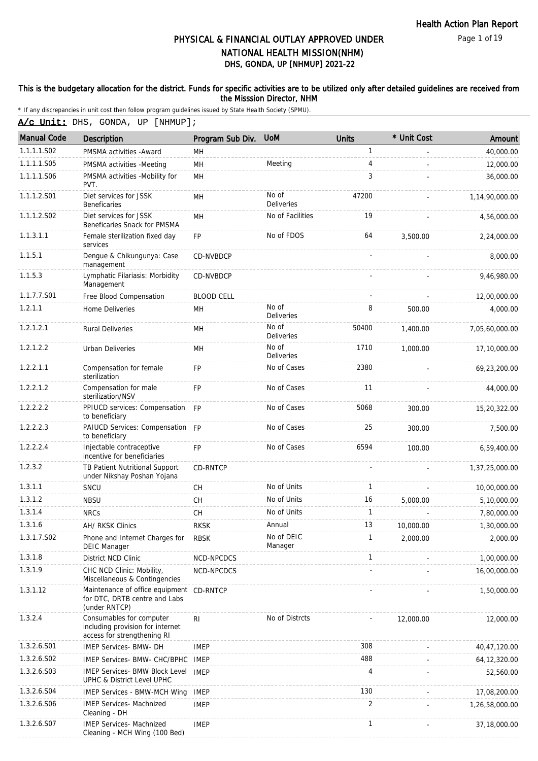Page 1 of 19

# DHS, GONDA, UP [NHMUP] 2021-22 PHYSICAL & FINANCIAL OUTLAY APPROVED UNDER NATIONAL HEALTH MISSION(NHM)

### This is the budgetary allocation for the district. Funds for specific activities are to be utilized only after detailed guidelines are received from the Misssion Director, NHM

|  |  |  |  |  | A/c Unit: DHS, GONDA, UP [NHMUP]; |
|--|--|--|--|--|-----------------------------------|
|--|--|--|--|--|-----------------------------------|

| <b>Manual Code</b> | <b>Description</b>                                                                          | Program Sub Div.  | <b>UoM</b>                 | <b>Units</b> | * Unit Cost | Amount         |
|--------------------|---------------------------------------------------------------------------------------------|-------------------|----------------------------|--------------|-------------|----------------|
| 1.1.1.1.S02        | PMSMA activities - Award                                                                    | MН                |                            | $\mathbf{1}$ |             | 40,000.00      |
| 1.1.1.1.S05        | PMSMA activities -Meeting                                                                   | MH                | Meeting                    | 4            |             | 12,000.00      |
| 1.1.1.1.S06        | PMSMA activities -Mobility for<br>PVT.                                                      | MH                |                            | 3            |             | 36,000.00      |
| 1.1.1.2.S01        | Diet services for JSSK<br><b>Beneficaries</b>                                               | MH                | No of<br><b>Deliveries</b> | 47200        |             | 1,14,90,000.00 |
| 1.1.1.2.S02        | Diet services for JSSK<br>Beneficaries Snack for PMSMA                                      | MH                | No of Facilities           | 19           |             | 4,56,000.00    |
| 1.1.3.1.1          | Female sterilization fixed day<br>services                                                  | <b>FP</b>         | No of FDOS                 | 64           | 3,500.00    | 2,24,000.00    |
| 1.1.5.1            | Dengue & Chikungunya: Case<br>management                                                    | CD-NVBDCP         |                            |              |             | 8,000.00       |
| 1.1.5.3            | Lymphatic Filariasis: Morbidity<br>Management                                               | CD-NVBDCP         |                            |              |             | 9,46,980.00    |
| 1.1.7.7.S01        | Free Blood Compensation                                                                     | <b>BLOOD CELL</b> |                            |              |             | 12,00,000.00   |
| 1.2.1.1            | Home Deliveries                                                                             | MН                | No of<br>Deliveries        | 8            | 500.00      | 4,000.00       |
| 1.2.1.2.1          | <b>Rural Deliveries</b>                                                                     | MH                | No of<br>Deliveries        | 50400        | 1,400.00    | 7.05.60.000.00 |
| 1.2.1.2.2          | <b>Urban Deliveries</b>                                                                     | MH                | No of<br><b>Deliveries</b> | 1710         | 1,000.00    | 17,10,000.00   |
| 1.2.2.1.1          | Compensation for female<br>sterilization                                                    | <b>FP</b>         | No of Cases                | 2380         |             | 69,23,200.00   |
| 1.2.2.1.2          | Compensation for male<br>sterilization/NSV                                                  | <b>FP</b>         | No of Cases                | 11           |             | 44,000.00      |
| 1.2.2.2.2          | PPIUCD services: Compensation FP<br>to beneficiary                                          |                   | No of Cases                | 5068         | 300.00      | 15,20,322.00   |
| 1.2.2.2.3          | PAIUCD Services: Compensation FP<br>to beneficiary                                          |                   | No of Cases                | 25           | 300.00      | 7,500.00       |
| 1.2.2.2.4          | Injectable contraceptive<br>incentive for beneficiaries                                     | <b>FP</b>         | No of Cases                | 6594         | 100.00      | 6,59,400.00    |
| 1.2.3.2            | TB Patient Nutritional Support<br>under Nikshay Poshan Yojana                               | CD-RNTCP          |                            | ÷            |             | 1,37,25,000.00 |
| 1.3.1.1            | SNCU                                                                                        | <b>CH</b>         | No of Units                | 1            |             | 10,00,000.00   |
| 1.3.1.2            | <b>NBSU</b>                                                                                 | CH                | No of Units                | 16           | 5,000.00    | 5,10,000.00    |
| 1.3.1.4            | <b>NRCs</b>                                                                                 | CH                | No of Units                | 1            |             | 7,80,000.00    |
| 1.3.1.6            | AH/ RKSK Clinics                                                                            | <b>RKSK</b>       | Annual                     | 13           | 10,000.00   | 1,30,000.00    |
| 1.3.1.7.S02        | Phone and Internet Charges for<br><b>DEIC Manager</b>                                       | <b>RBSK</b>       | No of DEIC<br>Manager      |              | 2,000.00    | 2,000.00       |
| 1.3.1.8            | District NCD Clinic                                                                         | NCD-NPCDCS        |                            | 1            |             | 1,00,000.00    |
| 1.3.1.9            | CHC NCD Clinic: Mobility,<br>Miscellaneous & Contingencies                                  | NCD-NPCDCS        |                            |              |             | 16,00,000.00   |
| 1.3.1.12           | Maintenance of office equipment<br>for DTC, DRTB centre and Labs<br>(under RNTCP)           | CD-RNTCP          |                            |              |             | 1,50,000.00    |
| 1.3.2.4            | Consumables for computer<br>including provision for internet<br>access for strengthening RI | RI                | No of Distrcts             |              | 12,000.00   | 12,000.00      |
| 1.3.2.6.S01        | <b>IMEP Services- BMW- DH</b>                                                               | <b>IMEP</b>       |                            | 308          |             | 40,47,120.00   |
| 1.3.2.6.S02        | IMEP Services- BMW- CHC/BPHC                                                                | <b>IMEP</b>       |                            | 488          |             | 64, 12, 320.00 |
| 1.3.2.6.S03        | IMEP Services- BMW Block Level<br>UPHC & District Level UPHC                                | <b>IMEP</b>       |                            | 4            |             | 52,560.00      |
| 1.3.2.6.S04        | <b>IMEP Services - BMW-MCH Wing</b>                                                         | <b>IMEP</b>       |                            | 130          |             | 17,08,200.00   |
| 1.3.2.6.S06        | <b>IMEP Services- Machnized</b><br>Cleaning - DH                                            | <b>IMEP</b>       |                            | 2            |             | 1,26,58,000.00 |
| 1.3.2.6.S07        | <b>IMEP Services- Machnized</b><br>Cleaning - MCH Wing (100 Bed)                            | <b>IMEP</b>       |                            | 1            |             | 37,18,000.00   |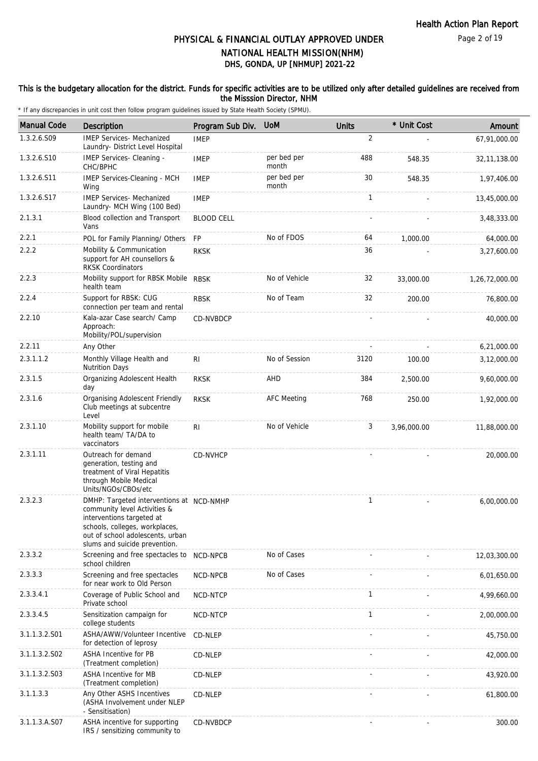### This is the budgetary allocation for the district. Funds for specific activities are to be utilized only after detailed guidelines are received from the Misssion Director, NHM

| <b>Manual Code</b> | <b>Description</b>                                                                                                                                                                                           | Program Sub Div.  | <b>UoM</b>           | <b>Units</b> | * Unit Cost | Amount         |
|--------------------|--------------------------------------------------------------------------------------------------------------------------------------------------------------------------------------------------------------|-------------------|----------------------|--------------|-------------|----------------|
| 1.3.2.6.S09        | <b>IMEP Services- Mechanized</b><br>Laundry- District Level Hospital                                                                                                                                         | <b>IMEP</b>       |                      | 2            |             | 67,91,000.00   |
| 1.3.2.6.S10        | IMEP Services- Cleaning -<br>CHC/BPHC                                                                                                                                                                        | <b>IMEP</b>       | per bed per<br>month | 488          | 548.35      | 32, 11, 138.00 |
| 1.3.2.6.S11        | IMEP Services-Cleaning - MCH<br>Wing                                                                                                                                                                         | <b>IMEP</b>       | per bed per<br>month | 30           | 548.35      | 1,97,406.00    |
| 1.3.2.6.S17        | <b>IMEP Services- Mechanized</b><br>Laundry- MCH Wing (100 Bed)                                                                                                                                              | <b>IMEP</b>       |                      | $\mathbf{1}$ |             | 13,45,000.00   |
| 2.1.3.1            | Blood collection and Transport<br>Vans                                                                                                                                                                       | <b>BLOOD CELL</b> |                      |              |             | 3,48,333.00    |
| 2.2.1              | POL for Family Planning/ Others                                                                                                                                                                              | <b>FP</b>         | No of FDOS           | 64           | 1,000.00    | 64,000.00      |
| 2.2.2              | Mobility & Communication<br>support for AH counsellors &<br><b>RKSK Coordinators</b>                                                                                                                         | <b>RKSK</b>       |                      | 36           |             | 3,27,600.00    |
| 2.2.3              | Mobility support for RBSK Mobile RBSK<br>health team                                                                                                                                                         |                   | No of Vehicle        | 32           | 33,000.00   | 1,26,72,000.00 |
| 2.2.4              | Support for RBSK: CUG<br>connection per team and rental                                                                                                                                                      | <b>RBSK</b>       | No of Team           | 32           | 200.00      | 76,800.00      |
| 2.2.10             | Kala-azar Case search/ Camp<br>Approach:<br>Mobility/POL/supervision                                                                                                                                         | CD-NVBDCP         |                      |              |             | 40,000.00      |
| 2.2.11             | Any Other                                                                                                                                                                                                    |                   |                      |              |             | 6,21,000.00    |
| 2.3.1.1.2          | Monthly Village Health and<br><b>Nutrition Days</b>                                                                                                                                                          | RI                | No of Session        | 3120         | 100.00      | 3,12,000.00    |
| 2.3.1.5            | Organizing Adolescent Health<br>day                                                                                                                                                                          | <b>RKSK</b>       | AHD                  | 384          | 2,500.00    | 9,60,000.00    |
| 2.3.1.6            | Organising Adolescent Friendly<br>Club meetings at subcentre<br>Level                                                                                                                                        | <b>RKSK</b>       | <b>AFC Meeting</b>   | 768          | 250.00      | 1,92,000.00    |
| 2.3.1.10           | Mobility support for mobile<br>health team/ TA/DA to<br>vaccinators                                                                                                                                          | R <sub>1</sub>    | No of Vehicle        | 3            | 3,96,000.00 | 11,88,000.00   |
| 2.3.1.11           | Outreach for demand<br>generation, testing and<br>treatment of Viral Hepatitis<br>through Mobile Medical<br>Units/NGOs/CBOs/etc                                                                              | CD-NVHCP          |                      |              |             | 20,000.00      |
| 2.3.2.3            | DMHP: Targeted interventions at NCD-NMHP<br>community level Activities &<br>interventions targeted at<br>schools, colleges, workplaces,<br>out of school adolescents, urban<br>slums and suicide prevention. |                   |                      | 1            |             | 6,00,000.00    |
| 2.3.3.2            | Screening and free spectacles to<br>school children                                                                                                                                                          | NCD-NPCB          | No of Cases          |              |             | 12,03,300.00   |
| 2.3.3.3            | Screening and free spectacles<br>for near work to Old Person                                                                                                                                                 | NCD-NPCB          | No of Cases          |              |             | 6,01,650.00    |
| 2.3.3.4.1          | Coverage of Public School and<br>Private school                                                                                                                                                              | NCD-NTCP          |                      | $\mathbf{1}$ |             | 4,99,660.00    |
| 2.3.3.4.5          | Sensitization campaign for<br>college students                                                                                                                                                               | NCD-NTCP          |                      | 1            |             | 2,00,000.00    |
| 3.1.1.3.2.S01      | ASHA/AWW/Volunteer Incentive<br>for detection of leprosy                                                                                                                                                     | CD-NLEP           |                      |              |             | 45,750.00      |
| 3.1.1.3.2.S02      | <b>ASHA Incentive for PB</b><br>(Treatment completion)                                                                                                                                                       | CD-NLEP           |                      |              |             | 42,000.00      |
| 3.1.1.3.2.S03      | ASHA Incentive for MB<br>(Treatment completion)                                                                                                                                                              | CD-NLEP           |                      |              |             | 43,920.00      |
| 3.1.1.3.3          | Any Other ASHS Incentives<br>(ASHA Involvement under NLEP<br>- Sensitisation)                                                                                                                                | CD-NLEP           |                      |              |             | 61,800.00      |
| 3.1.1.3.A.S07      | ASHA incentive for supporting<br>IRS / sensitizing community to                                                                                                                                              | CD-NVBDCP         |                      |              |             | 300.00         |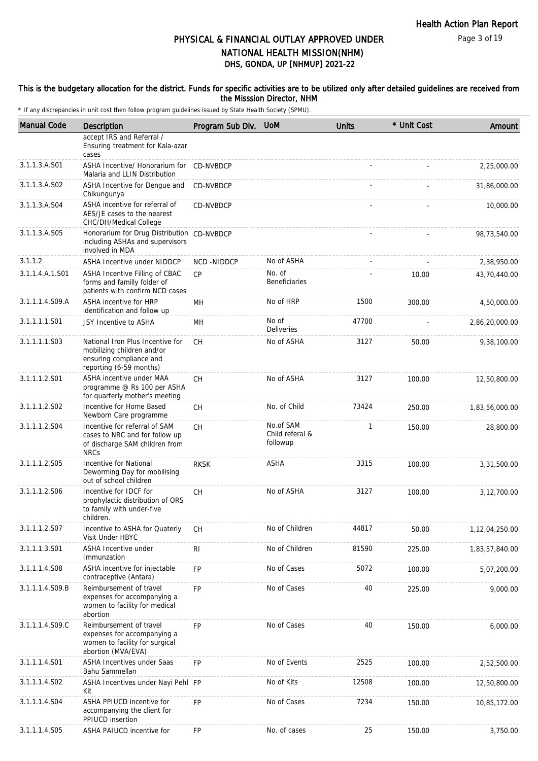### This is the budgetary allocation for the district. Funds for specific activities are to be utilized only after detailed guidelines are received from the Misssion Director, NHM

| <b>Manual Code</b> | Description                                                                                                          | Program Sub Div. | <b>UoM</b>                               | <b>Units</b> | * Unit Cost | Amount         |
|--------------------|----------------------------------------------------------------------------------------------------------------------|------------------|------------------------------------------|--------------|-------------|----------------|
|                    | accept IRS and Referral /<br>Ensuring treatment for Kala-azar<br>cases                                               |                  |                                          |              |             |                |
| 3.1.1.3.A.S01      | ASHA Incentive/ Honorarium for<br>Malaria and LLIN Distribution                                                      | CD-NVBDCP        |                                          |              |             | 2,25,000.00    |
| 3.1.1.3.A.S02      | ASHA Incentive for Dengue and<br>Chikungunya                                                                         | CD-NVBDCP        |                                          |              |             | 31,86,000.00   |
| 3.1.1.3.A.S04      | ASHA incentive for referral of<br>AES/JE cases to the nearest<br>CHC/DH/Medical College                              | CD-NVBDCP        |                                          |              |             | 10,000.00      |
| 3.1.1.3.A.S05      | Honorarium for Drug Distribution CD-NVBDCP<br>including ASHAs and supervisors<br>involved in MDA                     |                  |                                          |              |             | 98,73,540.00   |
| 3.1.1.2            | <b>ASHA Incentive under NIDDCP</b>                                                                                   | NCD-NIDDCP       | No of ASHA                               |              |             | 2,38,950.00    |
| 3.1.1.4.A.1.S01    | ASHA Incentive Filling of CBAC<br>forms and familly folder of<br>patients with confirm NCD cases                     | CP               | No. of<br>Beneficiaries                  |              | 10.00       | 43,70,440.00   |
| 3.1.1.1.4.S09.A    | <b>ASHA incentive for HRP</b><br>identification and follow up                                                        | MН               | No of HRP                                | 1500         | 300.00      | 4,50,000.00    |
| 3.1.1.1.1.S01      | JSY Incentive to ASHA                                                                                                | MН               | No of<br>Deliveries                      | 47700        |             | 2,86,20,000.00 |
| 3.1.1.1.1.S03      | National Iron Plus Incentive for<br>mobilizing children and/or<br>ensuring compliance and<br>reporting (6-59 months) | CH.              | No of ASHA                               | 3127         | 50.00       | 9,38,100.00    |
| 3.1.1.1.2.S01      | ASHA incentive under MAA<br>programme @ Rs 100 per ASHA<br>for quarterly mother's meeting                            | <b>CH</b>        | No of ASHA                               | 3127         | 100.00      | 12,50,800.00   |
| 3.1.1.1.2.S02      | Incentive for Home Based<br>Newborn Care programme                                                                   | СH               | No. of Child                             | 73424        | 250.00      | 1,83,56,000.00 |
| 3.1.1.1.2.S04      | Incentive for referral of SAM<br>cases to NRC and for follow up<br>of discharge SAM children from<br><b>NRCs</b>     | CH               | No.of SAM<br>Child referal &<br>followup | $\mathbf{1}$ | 150.00      | 28,800.00      |
| 3.1.1.1.2.S05      | Incentive for National<br>Deworming Day for mobilising<br>out of school children                                     | <b>RKSK</b>      | <b>ASHA</b>                              | 3315         | 100.00      | 3,31,500.00    |
| 3.1.1.1.2.S06      | Incentive for IDCF for<br>prophylactic distribution of ORS<br>to family with under-five<br>children.                 | CH               | No of ASHA                               | 3127         | 100.00      | 3,12,700.00    |
| 3.1.1.1.2.S07      | Incentive to ASHA for Quaterly<br>Visit Under HBYC                                                                   | СH               | No of Children                           | 44817        | 50.00       | 1,12,04,250.00 |
| 3.1.1.1.3.S01      | ASHA Incentive under<br>Immunzation                                                                                  | <b>RI</b>        | No of Children                           | 81590        | 225.00      | 1,83,57,840.00 |
| 3.1.1.1.4.S08      | ASHA incentive for injectable<br>contraceptive (Antara)                                                              | FP               | No of Cases                              | 5072         | 100.00      | 5,07,200.00    |
| 3.1.1.1.4.S09.B    | Reimbursement of travel<br>expenses for accompanying a<br>women to facility for medical<br>abortion                  | <b>FP</b>        | No of Cases                              | 40           | 225.00      | 9,000.00       |
| 3.1.1.1.4.S09.C    | Reimbursement of travel<br>expenses for accompanying a<br>women to facility for surgical<br>abortion (MVA/EVA)       | <b>FP</b>        | No of Cases                              | 40           | 150.00      | 6,000.00       |
| 3.1.1.1.4.S01      | <b>ASHA Incentives under Saas</b><br>Bahu Sammellan                                                                  | FP               | No of Events                             | 2525         | 100.00      | 2,52,500.00    |
| 3.1.1.1.4.S02      | ASHA Incentives under Nayi Pehl FP<br>Kit                                                                            |                  | No of Kits                               | 12508        | 100.00      | 12,50,800.00   |
| 3.1.1.1.4.S04      | ASHA PPIUCD incentive for<br>accompanying the client for<br>PPIUCD insertion                                         | <b>FP</b>        | No of Cases                              | 7234         | 150.00      | 10,85,172.00   |
| 3.1.1.1.4.S05      | ASHA PAIUCD incentive for                                                                                            | <b>FP</b>        | No. of cases                             | 25           | 150.00      | 3,750.00       |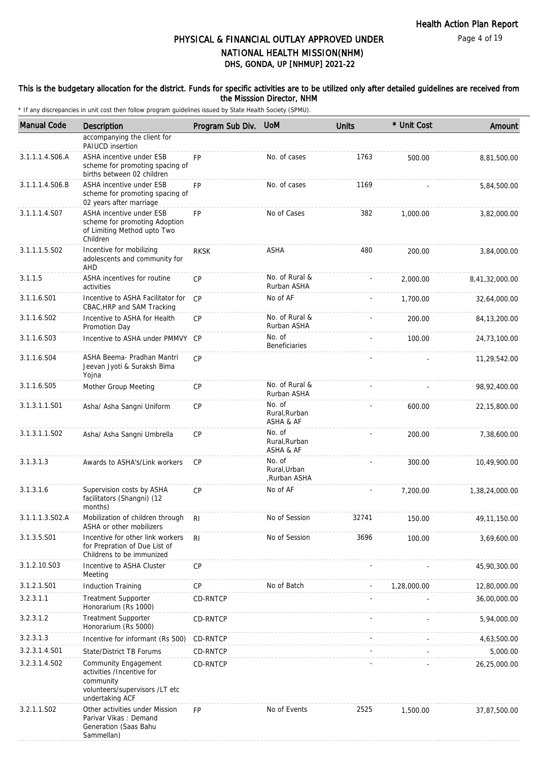### This is the budgetary allocation for the district. Funds for specific activities are to be utilized only after detailed guidelines are received from the Misssion Director, NHM

| <b>Manual Code</b> | Description                                                                                                         | Program Sub Div. | <b>UoM</b>                            | <b>Units</b> | * Unit Cost | Amount          |
|--------------------|---------------------------------------------------------------------------------------------------------------------|------------------|---------------------------------------|--------------|-------------|-----------------|
|                    | accompanying the client for<br>PAIUCD insertion                                                                     |                  |                                       |              |             |                 |
| 3.1.1.1.4.S06.A    | ASHA incentive under ESB<br>scheme for promoting spacing of<br>births between 02 children                           | <b>FP</b>        | No. of cases                          | 1763         | 500.00      | 8,81,500.00     |
| 3.1.1.1.4.S06.B    | ASHA incentive under ESB<br>scheme for promoting spacing of<br>02 years after marriage                              | FP               | No. of cases                          | 1169         |             | 5,84,500.00     |
| 3.1.1.1.4.S07      | ASHA incentive under ESB<br>scheme for promoting Adoption<br>of Limiting Method upto Two<br>Children                | FP               | No of Cases                           | 382          | 1,000.00    | 3,82,000.00     |
| 3.1.1.1.5.S02      | Incentive for mobilizing<br>adolescents and community for<br>AHD                                                    | <b>RKSK</b>      | ASHA                                  | 480          | 200.00      | 3,84,000.00     |
| 3.1.1.5            | ASHA incentives for routine<br>activities                                                                           | <b>CP</b>        | No. of Rural &<br>Rurban ASHA         |              | 2,000.00    | 8,41,32,000.00  |
| 3.1.1.6.S01        | Incentive to ASHA Facilitator for<br>CBAC, HRP and SAM Tracking                                                     | CP               | No of AF                              |              | 1,700.00    | 32,64,000.00    |
| 3.1.1.6.S02        | Incentive to ASHA for Health<br>Promotion Day                                                                       | <b>CP</b>        | No. of Rural &<br>Rurban ASHA         |              | 200.00      | 84, 13, 200. 00 |
| 3.1.1.6.S03        | Incentive to ASHA under PMMVY                                                                                       | CP               | No. of<br>Beneficiaries               |              | 100.00      | 24,73,100.00    |
| 3.1.1.6.S04        | ASHA Beema- Pradhan Mantri<br>Jeevan Jyoti & Suraksh Bima<br>Yojna                                                  | <b>CP</b>        |                                       |              |             | 11,29,542.00    |
| 3.1.1.6.S05        | Mother Group Meeting                                                                                                | СP               | No. of Rural &<br>Rurban ASHA         |              |             | 98,92,400.00    |
| 3.1.3.1.1.S01      | Asha/ Asha Sangni Uniform                                                                                           | СP               | No. of<br>Rural, Rurban<br>ASHA & AF  |              | 600.00      | 22, 15, 800.00  |
| 3.1.3.1.1.S02      | Asha/ Asha Sangni Umbrella                                                                                          | <b>CP</b>        | No. of<br>Rural, Rurban<br>ASHA & AF  |              | 200.00      | 7,38,600.00     |
| 3.1.3.1.3          | Awards to ASHA's/Link workers                                                                                       | <b>CP</b>        | No. of<br>Rural.Urban<br>,Rurban ASHA |              | 300.00      | 10,49,900.00    |
| 3.1.3.1.6          | Supervision costs by ASHA<br>facilitators (Shangni) (12<br>months)                                                  | CP               | No of AF                              |              | 7,200.00    | 1,38,24,000.00  |
| 3.1.1.1.3.S02.A    | Mobilization of children through RI<br>ASHA or other mobilizers                                                     |                  | No of Session                         | 32741        | 150.00      | 49, 11, 150.00  |
| 3.1.3.5.S01        | Incentive for other link workers<br>for Prepration of Due List of<br>Childrens to be immunized                      | RI.              | No of Session                         | 3696         | 100.00      | 3,69,600.00     |
| 3.1.2.10.S03       | Incentive to ASHA Cluster<br>Meeting                                                                                | CP               |                                       |              |             | 45,90,300.00    |
| 3.1.2.1.S01        | <b>Induction Training</b>                                                                                           | <b>CP</b>        | No of Batch                           |              | 1,28,000.00 | 12,80,000.00    |
| 3.2.3.1.1          | <b>Treatment Supporter</b><br>Honorarium (Rs 1000)                                                                  | CD-RNTCP         |                                       |              |             | 36,00,000.00    |
| 3.2.3.1.2          | <b>Treatment Supporter</b><br>Honorarium (Rs 5000)                                                                  | CD-RNTCP         |                                       |              |             | 5,94,000.00     |
| 3.2.3.1.3          | Incentive for informant (Rs 500)                                                                                    | CD-RNTCP         |                                       |              |             | 4,63,500.00     |
| 3.2.3.1.4.S01      | State/District TB Forums                                                                                            | CD-RNTCP         |                                       |              |             | 5,000.00        |
| 3.2.3.1.4.S02      | Community Engagement<br>activities /Incentive for<br>community<br>volunteers/supervisors /LT etc<br>undertaking ACF | CD-RNTCP         |                                       |              |             | 26,25,000.00    |
| 3.2.1.1.S02        | Other activities under Mission<br>Parivar Vikas: Demand<br>Generation (Saas Bahu<br>Sammellan)                      | <b>FP</b>        | No of Events                          | 2525         | 1,500.00    | 37,87,500.00    |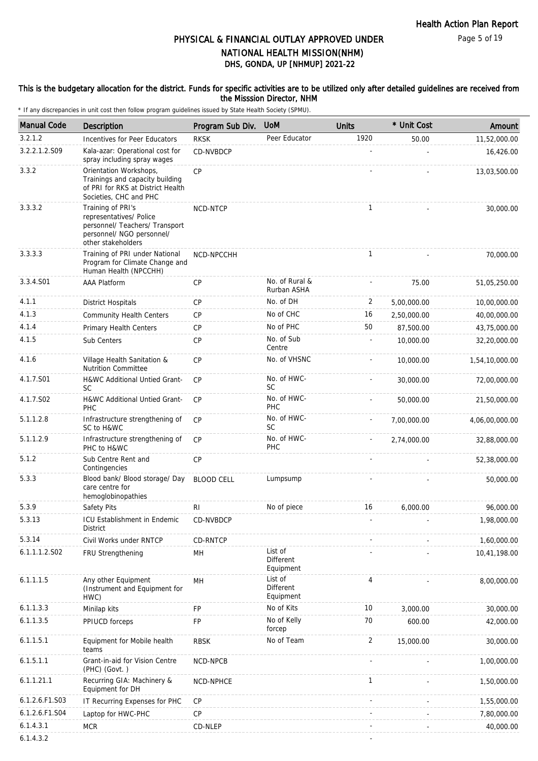Page 5 of 19

# DHS, GONDA, UP [NHMUP] 2021-22 PHYSICAL & FINANCIAL OUTLAY APPROVED UNDER NATIONAL HEALTH MISSION(NHM)

### This is the budgetary allocation for the district. Funds for specific activities are to be utilized only after detailed guidelines are received from the Misssion Director, NHM

| <b>Manual Code</b> | Description                                                                                                                       | Program Sub Div.  | <b>UoM</b>                               | <b>Units</b>   | * Unit Cost | Amount         |
|--------------------|-----------------------------------------------------------------------------------------------------------------------------------|-------------------|------------------------------------------|----------------|-------------|----------------|
| 3.2.1.2            | Incentives for Peer Educators                                                                                                     | <b>RKSK</b>       | Peer Educator                            | 1920           | 50.00       | 11,52,000.00   |
| 3.2.2.1.2.S09      | Kala-azar: Operational cost for<br>spray including spray wages                                                                    | CD-NVBDCP         |                                          |                |             | 16,426.00      |
| 3.3.2              | Orientation Workshops,<br>Trainings and capacity building<br>of PRI for RKS at District Health<br>Societies, CHC and PHC          | CP                |                                          |                |             | 13,03,500.00   |
| 3.3.3.2            | Training of PRI's<br>representatives/ Police<br>personnel/ Teachers/ Transport<br>personnel/ NGO personnel/<br>other stakeholders | NCD-NTCP          |                                          | $\mathbf{1}$   |             | 30,000.00      |
| 3.3.3.3            | Training of PRI under National<br>Program for Climate Change and<br>Human Health (NPCCHH)                                         | NCD-NPCCHH        |                                          | $\mathbf{1}$   |             | 70,000.00      |
| 3.3.4.S01          | <b>AAA Platform</b>                                                                                                               | <b>CP</b>         | No. of Rural &<br>Rurban ASHA            |                | 75.00       | 51,05,250.00   |
| 4.1.1              | <b>District Hospitals</b>                                                                                                         | <b>CP</b>         | No. of DH                                | 2              | 5,00,000.00 | 10,00,000.00   |
| 4.1.3              | <b>Community Health Centers</b>                                                                                                   | <b>CP</b>         | No of CHC                                | 16             | 2,50,000.00 | 40,00,000.00   |
| 4.1.4              | Primary Health Centers                                                                                                            | <b>CP</b>         | No of PHC                                | 50             | 87,500.00   | 43,75,000.00   |
| 4.1.5              | Sub Centers                                                                                                                       | CP                | No. of Sub<br>Centre                     |                | 10,000.00   | 32,20,000.00   |
| 4.1.6              | Village Health Sanitation &<br><b>Nutrition Committee</b>                                                                         | CP                | No. of VHSNC                             |                | 10,000.00   | 1,54,10,000.00 |
| 4.1.7.S01          | H&WC Additional Untied Grant-<br><b>SC</b>                                                                                        | CP                | No. of HWC-<br><b>SC</b>                 |                | 30,000.00   | 72,00,000.00   |
| 4.1.7.S02          | H&WC Additional Untied Grant-<br>PHC                                                                                              | <b>CP</b>         | No. of HWC-<br>PHC                       |                | 50,000.00   | 21,50,000.00   |
| 5.1.1.2.8          | Infrastructure strengthening of<br>SC to H&WC                                                                                     | <b>CP</b>         | No. of HWC-<br>SC                        |                | 7,00,000.00 | 4,06,00,000.00 |
| 5.1.1.2.9          | Infrastructure strengthening of<br>PHC to H&WC                                                                                    | CP                | No. of HWC-<br>PHC                       |                | 2,74,000.00 | 32,88,000.00   |
| 5.1.2              | Sub Centre Rent and<br>Contingencies                                                                                              | <b>CP</b>         |                                          |                |             | 52,38,000.00   |
| 5.3.3              | Blood bank/ Blood storage/ Day<br>care centre for<br>hemoglobinopathies                                                           | <b>BLOOD CELL</b> | Lumpsump                                 |                |             | 50,000.00      |
| 5.3.9              | Safety Pits                                                                                                                       | R <sub>l</sub>    | No of piece                              | 16             | 6,000.00    | 96,000.00      |
| 5.3.13             | ICU Establishment in Endemic<br>District                                                                                          | CD-NVBDCP         |                                          |                |             | 1,98,000.00    |
| 5.3.14             | Civil Works under RNTCP                                                                                                           | CD-RNTCP          |                                          |                |             | 1,60,000.00    |
| 6.1.1.1.2.S02      | FRU Strengthening                                                                                                                 | MH                | List of<br><b>Different</b><br>Equipment |                |             | 10,41,198.00   |
| 6.1.1.1.5          | Any other Equipment<br>(Instrument and Equipment for<br>HWC)                                                                      | MH                | List of<br><b>Different</b><br>Equipment | 4              |             | 8,00,000.00    |
| 6.1.1.3.3          | Minilap kits                                                                                                                      | FP                | No of Kits                               | 10             | 3,000.00    | 30,000.00      |
| 6.1.1.3.5          | PPIUCD forceps                                                                                                                    | FP                | No of Kelly<br>forcep                    | 70             | 600.00      | 42,000.00      |
| 6.1.1.5.1          | Equipment for Mobile health<br>teams                                                                                              | <b>RBSK</b>       | No of Team                               | $\overline{2}$ | 15,000.00   | 30,000.00      |
| 6.1.5.1.1          | Grant-in-aid for Vision Centre<br>(PHC) (Govt.)                                                                                   | NCD-NPCB          |                                          |                |             | 1,00,000.00    |
| 6.1.1.21.1         | Recurring GIA: Machinery &<br>Equipment for DH                                                                                    | NCD-NPHCE         |                                          | $\mathbf{1}$   |             | 1,50,000.00    |
| 6.1.2.6.F1.S03     | IT Recurring Expenses for PHC                                                                                                     | <b>CP</b>         |                                          |                |             | 1,55,000.00    |
| 6.1.2.6.F1.S04     | Laptop for HWC-PHC                                                                                                                | CP                |                                          |                |             | 7,80,000.00    |
| 6.1.4.3.1          | <b>MCR</b>                                                                                                                        | CD-NLEP           |                                          |                |             | 40,000.00      |
| 6.1.4.3.2          |                                                                                                                                   |                   |                                          |                |             |                |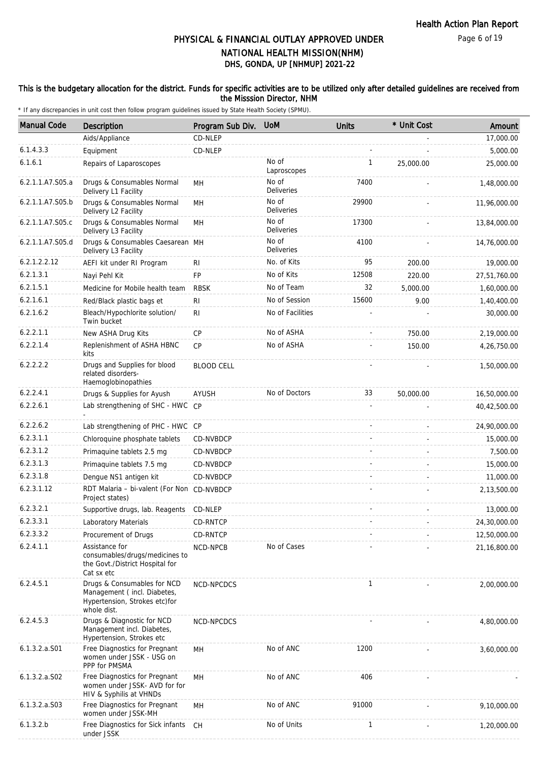### This is the budgetary allocation for the district. Funds for specific activities are to be utilized only after detailed guidelines are received from the Misssion Director, NHM

| <b>Manual Code</b> | Description                                                                                                 | Program Sub Div.  | <b>UoM</b>                 | <b>Units</b> | * Unit Cost | Amount       |
|--------------------|-------------------------------------------------------------------------------------------------------------|-------------------|----------------------------|--------------|-------------|--------------|
|                    | Aids/Appliance                                                                                              | CD-NLEP           |                            |              |             | 17,000.00    |
| 6.1.4.3.3          | Equipment                                                                                                   | CD-NLEP           |                            |              |             | 5,000.00     |
| 6.1.6.1            | Repairs of Laparoscopes                                                                                     |                   | No of<br>Laproscopes       | 1            | 25,000.00   | 25,000.00    |
| 6.2.1.1.A7.S05.a   | Drugs & Consumables Normal<br>Delivery L1 Facility                                                          | MН                | No of<br><b>Deliveries</b> | 7400         |             | 1,48,000.00  |
| 6.2.1.1.A7.S05.b   | Drugs & Consumables Normal<br>Delivery L2 Facility                                                          | MH                | No of<br><b>Deliveries</b> | 29900        |             | 11,96,000.00 |
| 6.2.1.1.A7.S05.c   | Drugs & Consumables Normal<br>Delivery L3 Facility                                                          | MH                | No of<br><b>Deliveries</b> | 17300        |             | 13,84,000.00 |
| 6.2.1.1.A7.S05.d   | Drugs & Consumables Caesarean MH<br>Delivery L3 Facility                                                    |                   | No of<br><b>Deliveries</b> | 4100         |             | 14,76,000.00 |
| 6.2.1.2.2.12       | AEFI kit under RI Program                                                                                   | RI                | No. of Kits                | 95           | 200.00      | 19,000.00    |
| 6.2.1.3.1          | Nayi Pehl Kit                                                                                               | FP                | No of Kits                 | 12508        | 220.00      | 27,51,760.00 |
| 6.2.1.5.1          | Medicine for Mobile health team                                                                             | <b>RBSK</b>       | No of Team                 | 32           | 5,000.00    | 1,60,000.00  |
| 6.2.1.6.1          | Red/Black plastic bags et                                                                                   | R <sub>l</sub>    | No of Session              | 15600        | 9.00        | 1,40,400.00  |
| 6.2.1.6.2          | Bleach/Hypochlorite solution/<br>Twin bucket                                                                | <b>RI</b>         | No of Facilities           |              |             | 30,000.00    |
| 6.2.2.1.1          | New ASHA Drug Kits                                                                                          | <b>CP</b>         | No of ASHA                 |              | 750.00      | 2,19,000.00  |
| 6.2.2.1.4          | Replenishment of ASHA HBNC<br>kits                                                                          | <b>CP</b>         | No of ASHA                 |              | 150.00      | 4,26,750.00  |
| 6.2.2.2.2          | Drugs and Supplies for blood<br>related disorders-<br>Haemoglobinopathies                                   | <b>BLOOD CELL</b> |                            |              |             | 1,50,000.00  |
| 6.2.2.4.1          | Drugs & Supplies for Ayush                                                                                  | AYUSH             | No of Doctors              | 33           | 50,000.00   | 16,50,000.00 |
| 6.2.2.6.1          | Lab strengthening of SHC - HWC CP                                                                           |                   |                            |              |             | 40,42,500.00 |
| 6.2.2.6.2          | Lab strengthening of PHC - HWC CP                                                                           |                   |                            |              |             | 24,90,000.00 |
| 6.2.3.1.1          | Chloroquine phosphate tablets                                                                               | CD-NVBDCP         |                            |              |             | 15,000.00    |
| 6.2.3.1.2          | Primaquine tablets 2.5 mg                                                                                   | CD-NVBDCP         |                            |              |             | 7,500.00     |
| 6.2.3.1.3          | Primaquine tablets 7.5 mg                                                                                   | CD-NVBDCP         |                            |              |             | 15,000.00    |
| 6.2.3.1.8          | Dengue NS1 antigen kit                                                                                      | CD-NVBDCP         |                            |              |             | 11,000.00    |
| 6.2.3.1.12         | RDT Malaria - bi-valent (For Non CD-NVBDCP<br>Project states)                                               |                   |                            |              |             | 2,13,500.00  |
| 6.2.3.2.1          | Supportive drugs, lab. Reagents CD-NLEP                                                                     |                   |                            |              |             | 13,000.00    |
| 6.2.3.3.1          | Laboratory Materials                                                                                        | CD-RNTCP          |                            |              |             | 24,30,000.00 |
| 6.2.3.3.2          | Procurement of Drugs                                                                                        | CD-RNTCP          |                            |              |             | 12,50,000.00 |
| 6.2.4.1.1          | Assistance for<br>consumables/drugs/medicines to<br>the Govt./District Hospital for<br>Cat sx etc           | NCD-NPCB          | No of Cases                |              |             | 21,16,800.00 |
| 6.2.4.5.1          | Drugs & Consumables for NCD<br>Management (incl. Diabetes,<br>Hypertension, Strokes etc) for<br>whole dist. | NCD-NPCDCS        |                            | $\mathbf{1}$ |             | 2,00,000.00  |
| 6.2.4.5.3          | Drugs & Diagnostic for NCD<br>Management incl. Diabetes,<br>Hypertension, Strokes etc                       | NCD-NPCDCS        |                            |              |             | 4,80,000.00  |
| $6.1.3.2.a.$ S01   | Free Diagnostics for Pregnant<br>women under JSSK - USG on<br>PPP for PMSMA                                 | MH                | No of ANC                  | 1200         |             | 3,60,000.00  |
| 6.1.3.2.a.S02      | Free Diagnostics for Pregnant<br>women under JSSK- AVD for for<br>HIV & Syphilis at VHNDs                   | MН                | No of ANC                  | 406          |             |              |
| 6.1.3.2.a.S03      | Free Diagnostics for Pregnant<br>women under JSSK-MH                                                        | MН                | No of ANC                  | 91000        |             | 9,10,000.00  |
| 6.1.3.2.b          | Free Diagnostics for Sick infants<br>under JSSK                                                             | CH.               | No of Units                | 1            |             | 1,20,000.00  |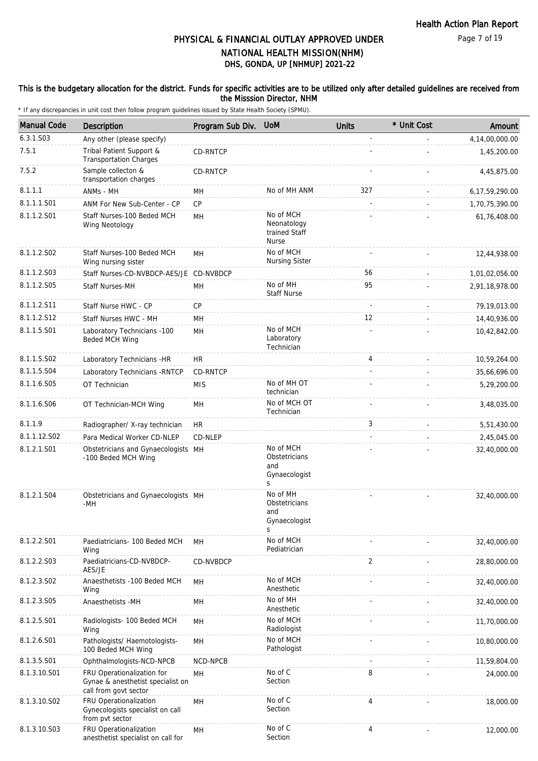### This is the budgetary allocation for the district. Funds for specific activities are to be utilized only after detailed guidelines are received from the Misssion Director, NHM

| <b>Manual Code</b> | <b>Description</b>                                                                       | Program Sub Div. UoM |                                                           | <b>Units</b> | * Unit Cost | Amount            |
|--------------------|------------------------------------------------------------------------------------------|----------------------|-----------------------------------------------------------|--------------|-------------|-------------------|
| 6.3.1.S03          | Any other (please specify)                                                               |                      |                                                           |              |             | 4,14,00,000.00    |
| 7.5.1              | Tribal Patient Support &<br><b>Transportation Charges</b>                                | CD-RNTCP             |                                                           |              |             | 1,45,200.00       |
| 7.5.2              | Sample collecton &<br>transportation charges                                             | CD-RNTCP             |                                                           |              |             | 4,45,875.00       |
| 8.1.1.1            | ANMs - MH                                                                                | MН                   | No of MH ANM                                              | 327          |             | 6, 17, 59, 290.00 |
| 8.1.1.1.S01        | ANM For New Sub-Center - CP                                                              | CP                   |                                                           |              |             | 1,70,75,390.00    |
| 8.1.1.2.S01        | Staff Nurses-100 Beded MCH<br>Wing Neotology                                             | MH                   | No of MCH<br>Neonatology<br>trained Staff<br><b>Nurse</b> |              |             | 61,76,408.00      |
| 8.1.1.2.S02        | Staff Nurses-100 Beded MCH<br>Wing nursing sister                                        | MH                   | No of MCH<br><b>Nursing Sister</b>                        |              |             | 12,44,938.00      |
| 8.1.1.2.S03        | Staff Nurses-CD-NVBDCP-AES/JE CD-NVBDCP                                                  |                      |                                                           | 56           |             | 1,01,02,056.00    |
| 8.1.1.2.S05        | Staff Nurses-MH                                                                          | MH                   | No of MH<br><b>Staff Nurse</b>                            | 95           |             | 2,91,18,978.00    |
| 8.1.1.2.S11        | Staff Nurse HWC - CP                                                                     | CP                   |                                                           |              |             | 79,19,013.00      |
| 8.1.1.2.S12        | Staff Nurses HWC - MH                                                                    | MH                   |                                                           | 12           |             | 14,40,936.00      |
| 8.1.1.5.S01        | Laboratory Technicians -100<br>Beded MCH Wing                                            | MH                   | No of MCH<br>Laboratory<br>Technician                     |              |             | 10,42,842.00      |
| 8.1.1.5.S02        | Laboratory Technicians -HR                                                               | <b>HR</b>            |                                                           | 4            |             | 10,59,264.00      |
| 8.1.1.5.S04        | Laboratory Technicians - RNTCP                                                           | CD-RNTCP             |                                                           |              |             | 35,66,696.00      |
| 8.1.1.6.S05        | OT Technician                                                                            | <b>MIS</b>           | No of MH OT<br>technician                                 |              |             | 5,29,200.00       |
| 8.1.1.6.S06        | OT Technician-MCH Wing                                                                   | MH                   | No of MCH OT<br>Technician                                |              |             | 3,48,035.00       |
| 8.1.1.9            | Radiographer/ X-ray technician                                                           | <b>HR</b>            |                                                           | 3            |             | 5,51,430.00       |
| 8.1.1.12.S02       | Para Medical Worker CD-NLEP                                                              | CD-NLEP              |                                                           |              |             | 2,45,045.00       |
| 8.1.2.1.S01        | Obstetricians and Gynaecologists MH<br>-100 Beded MCH Wing                               |                      | No of MCH<br>Obstetricians<br>and<br>Gynaecologist<br>S   |              |             | 32,40,000.00      |
| 8.1.2.1.S04        | Obstetricians and Gynaecologists MH<br>-MH                                               |                      | No of MH<br>Obstetricians<br>and<br>Gynaecologist<br>S    |              |             | 32,40,000.00      |
| 8.1.2.2.S01        | Paediatricians- 100 Beded MCH<br>Wing                                                    | MН                   | No of MCH<br>Pediatrician                                 |              |             | 32,40,000.00      |
| 8.1.2.2.S03        | Paediatricians-CD-NVBDCP-<br>AES/JE                                                      | CD-NVBDCP            |                                                           | 2            |             | 28,80,000.00      |
| 8.1.2.3.S02        | Anaesthetists -100 Beded MCH<br>Wing                                                     | MН                   | No of MCH<br>Anesthetic                                   |              |             | 32,40,000.00      |
| 8.1.2.3.S05        | Anaesthetists -MH                                                                        | MH                   | No of MH<br>Anesthetic                                    |              |             | 32,40,000.00      |
| 8.1.2.5.S01        | Radiologists- 100 Beded MCH<br>Wing                                                      | MH                   | No of MCH<br>Radiologist                                  |              |             | 11,70,000.00      |
| 8.1.2.6.S01        | Pathologists/ Haemotologists-<br>100 Beded MCH Wing                                      | MH                   | No of MCH<br>Pathologist                                  |              |             | 10,80,000.00      |
| 8.1.3.5.S01        | Ophthalmologists-NCD-NPCB                                                                | NCD-NPCB             |                                                           |              |             | 11,59,804.00      |
| 8.1.3.10.S01       | FRU Operationalization for<br>Gynae & anesthetist specialist on<br>call from govt sector | MH                   | No of C<br>Section                                        | 8            |             | 24,000.00         |
| 8.1.3.10.S02       | FRU Operationalization<br>Gynecologists specialist on call<br>from pvt sector            | MH                   | No of C<br>Section                                        | 4            |             | 18,000.00         |
| 8.1.3.10.S03       | FRU Operationalization<br>anesthetist specialist on call for                             | MH                   | No of C<br>Section                                        | 4            |             | 12,000.00         |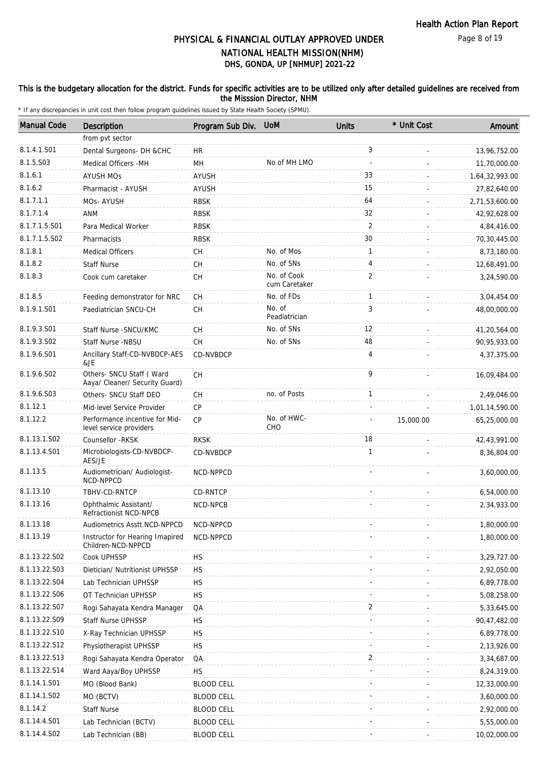### This is the budgetary allocation for the district. Funds for specific activities are to be utilized only after detailed guidelines are received from the Misssion Director, NHM

| <b>Manual Code</b> | Description                                                 | Program Sub Div. UoM                     |                              | <b>Units</b>             | * Unit Cost | Amount         |
|--------------------|-------------------------------------------------------------|------------------------------------------|------------------------------|--------------------------|-------------|----------------|
|                    | from pvt sector                                             |                                          |                              |                          |             |                |
| 8.1.4.1.S01        | Dental Surgeons- DH &CHC                                    | HR.                                      |                              | 3                        |             | 13,96,752.00   |
| 8.1.5.S03          | Medical Officers - MH                                       | MН                                       | No of MH LMO                 | $\overline{\phantom{a}}$ |             | 11,70,000.00   |
| 8.1.6.1            | <b>AYUSH MOS</b>                                            | <b>AYUSH</b>                             |                              | 33                       |             | 1,64,32,993.00 |
| 8.1.6.2            | Pharmacist - AYUSH                                          | <b>AYUSH</b>                             |                              | 15                       |             | 27,82,640.00   |
| 8.1.7.1.1          | MOs-AYUSH                                                   | <b>RBSK</b>                              |                              | 64                       |             | 2,71,53,600.00 |
| 8.1.7.1.4          | ANM                                                         | <b>RBSK</b>                              |                              | 32                       |             | 42,92,628.00   |
| 8.1.7.1.5.S01      | Para Medical Worker                                         | <b>RBSK</b>                              |                              | 2                        |             | 4,84,416.00    |
| 8.1.7.1.5.S02      | Pharmacists                                                 | <b>RBSK</b>                              |                              | 30                       |             | 70,30,445.00   |
| 8.1.8.1            | <b>Medical Officers</b>                                     | <b>CH</b>                                | No. of Mos                   | $\mathbf{1}$             |             | 8,73,180.00    |
| 8.1.8.2            | <b>Staff Nurse</b>                                          | <b>CH</b>                                | No. of SNs                   | 4                        |             | 12,68,491.00   |
| 8.1.8.3            | Cook cum caretaker                                          | CH                                       | No. of Cook<br>cum Caretaker | $\overline{2}$           |             | 3,24,590.00    |
| 8.1.8.5            | Feeding demonstrator for NRC                                | СH                                       | No. of FDs                   | $\mathbf{1}$             |             | 3,04,454.00    |
| 8.1.9.1.S01        | Paediatrician SNCU-CH                                       | CH                                       | No. of<br>Peadiatrician      | 3                        |             | 48,00,000.00   |
| 8.1.9.3.S01        | Staff Nurse - SNCU/KMC                                      | <b>CH</b>                                | No. of SNs                   | 12                       |             | 41,20,564.00   |
| 8.1.9.3.SO2        | Staff Nurse -NBSU                                           | <b>CH</b>                                | No. of SNs                   | 48                       |             | 90,95,933.00   |
| 8.1.9.6.S01        | Ancillary Staff-CD-NVBDCP-AES<br>&JE                        | CD-NVBDCP                                |                              | $\overline{4}$           |             | 4,37,375.00    |
| 8.1.9.6.SO2        | Others- SNCU Staff ( Ward<br>Aaya/ Cleaner/ Security Guard) | $\mathsf{CH}% \left( \mathcal{M}\right)$ |                              | 9                        |             | 16,09,484.00   |
| 8.1.9.6.S03        | Others- SNCU Staff DEO                                      | СH                                       | no. of Posts                 | $\mathbf{1}$             |             | 2,49,046.00    |
| 8.1.12.1           | Mid-level Service Provider                                  | <b>CP</b>                                |                              |                          |             | 1,01,14,590.00 |
| 8.1.12.2           | Performance incentive for Mid-<br>level service providers   | CP                                       | No. of HWC-<br>CHO           |                          | 15,000.00   | 65,25,000.00   |
| 8.1.13.1.S02       | Counsellor - RKSK                                           | <b>RKSK</b>                              |                              | 18                       |             | 42,43,991.00   |
| 8.1.13.4.S01       | Microbiologists-CD-NVBDCP-<br>AES/JE                        | CD-NVBDCP                                |                              | $\mathbf{1}$             |             | 8,36,804.00    |
| 8.1.13.5           | Audiometrician/ Audiologist-<br>NCD-NPPCD                   | NCD-NPPCD                                |                              |                          |             | 3,60,000.00    |
| 8.1.13.10          | TBHV-CD-RNTCP                                               | CD-RNTCP                                 |                              |                          |             | 6,54,000.00    |
| 8.1.13.16          | Ophthalmic Assistant/<br>Refractionist NCD-NPCB             | NCD-NPCB                                 |                              |                          |             | 2,34,933.00    |
| 8.1.13.18          | Audiometrics Asstt.NCD-NPPCD                                | NCD-NPPCD                                |                              |                          |             | 1,80,000.00    |
| 8.1.13.19          | Instructor for Hearing Imapired<br>Children-NCD-NPPCD       | NCD-NPPCD                                |                              |                          |             | 1,80,000.00    |
| 8.1.13.22.S02      | Cook UPHSSP                                                 | <b>HS</b>                                |                              |                          |             | 3,29,727.00    |
| 8.1.13.22.S03      | Dietician/ Nutritionist UPHSSP                              | <b>HS</b>                                |                              |                          |             | 2,92,050.00    |
| 8.1.13.22.S04      | Lab Technician UPHSSP                                       | HS                                       |                              |                          |             | 6,89,778.00    |
| 8.1.13.22.S06      | OT Technician UPHSSP                                        | <b>HS</b>                                |                              |                          |             | 5,08,258.00    |
| 8.1.13.22.S07      | Rogi Sahayata Kendra Manager                                | QA                                       |                              | 2                        |             | 5,33,645.00    |
| 8.1.13.22.S09      | <b>Staff Nurse UPHSSP</b>                                   | <b>HS</b>                                |                              |                          |             | 90,47,482.00   |
| 8.1.13.22.S10      | X-Ray Technician UPHSSP                                     | <b>HS</b>                                |                              |                          |             | 6,89,778.00    |
| 8.1.13.22.S12      | Physiotherapist UPHSSP                                      | <b>HS</b>                                |                              |                          |             | 2,13,926.00    |
| 8.1.13.22.S13      | Rogi Sahayata Kendra Operator                               | QA                                       |                              | 2                        |             | 3,34,687.00    |
| 8.1.13.22.S14      | Ward Aaya/Boy UPHSSP                                        | <b>HS</b>                                |                              |                          |             | 8,24,319.00    |
| 8.1.14.1.S01       | MO (Blood Bank)                                             | <b>BLOOD CELL</b>                        |                              |                          |             | 12,33,000.00   |
| 8.1.14.1.S02       | MO (BCTV)                                                   | <b>BLOOD CELL</b>                        |                              |                          |             | 3,60,000.00    |
| 8.1.14.2           | <b>Staff Nurse</b>                                          | <b>BLOOD CELL</b>                        |                              |                          |             | 2,92,000.00    |
| 8.1.14.4.S01       | Lab Technician (BCTV)                                       | <b>BLOOD CELL</b>                        |                              |                          |             | 5,55,000.00    |
| 8.1.14.4.S02       | Lab Technician (BB)                                         | <b>BLOOD CELL</b>                        |                              |                          |             | 10,02,000.00   |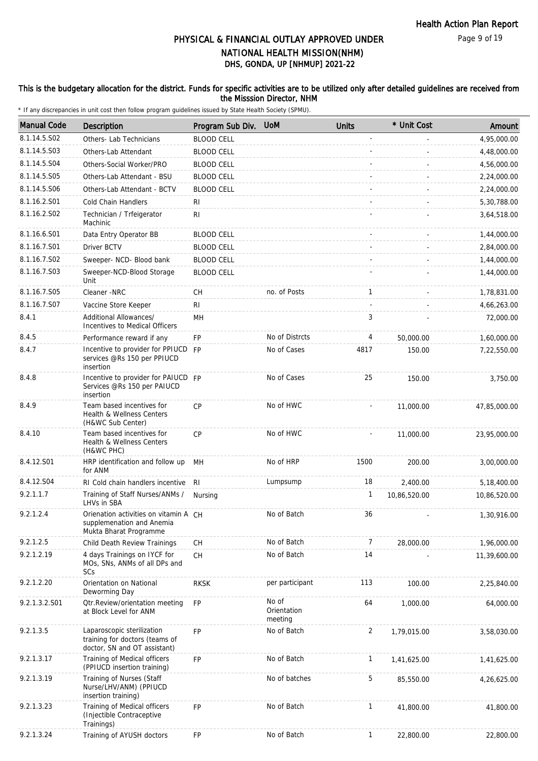### This is the budgetary allocation for the district. Funds for specific activities are to be utilized only after detailed guidelines are received from the Misssion Director, NHM

| <b>Manual Code</b> | Description                                                                                  | Program Sub Div.  | <b>UoM</b>                      | <b>Units</b>   | * Unit Cost  | Amount       |
|--------------------|----------------------------------------------------------------------------------------------|-------------------|---------------------------------|----------------|--------------|--------------|
| 8.1.14.5.S02       | Others- Lab Technicians                                                                      | <b>BLOOD CELL</b> |                                 |                |              | 4,95,000.00  |
| 8.1.14.5.S03       | Others-Lab Attendant                                                                         | <b>BLOOD CELL</b> |                                 |                |              | 4,48,000.00  |
| 8.1.14.5.S04       | Others-Social Worker/PRO                                                                     | <b>BLOOD CELL</b> |                                 |                |              | 4,56,000.00  |
| 8.1.14.5.S05       | Others-Lab Attendant - BSU                                                                   | <b>BLOOD CELL</b> |                                 |                |              | 2,24,000.00  |
| 8.1.14.5.S06       | Others-Lab Attendant - BCTV                                                                  | <b>BLOOD CELL</b> |                                 |                |              | 2,24,000.00  |
| 8.1.16.2.S01       | <b>Cold Chain Handlers</b>                                                                   | RI                |                                 |                |              | 5,30,788.00  |
| 8.1.16.2.S02       | Technician / Trfeigerator<br>Machinic                                                        | R <sub>l</sub>    |                                 |                |              | 3,64,518.00  |
| 8.1.16.6.S01       | Data Entry Operator BB                                                                       | <b>BLOOD CELL</b> |                                 |                |              | 1,44,000.00  |
| 8.1.16.7.S01       | Driver BCTV                                                                                  | <b>BLOOD CELL</b> |                                 |                |              | 2,84,000.00  |
| 8.1.16.7.S02       | Sweeper- NCD- Blood bank                                                                     | <b>BLOOD CELL</b> |                                 |                |              | 1,44,000.00  |
| 8.1.16.7.S03       | Sweeper-NCD-Blood Storage<br>Unit                                                            | <b>BLOOD CELL</b> |                                 |                |              | 1,44,000.00  |
| 8.1.16.7.S05       | Cleaner -NRC                                                                                 | CН                | no. of Posts                    | $\mathbf{1}$   |              | 1,78,831.00  |
| 8.1.16.7.S07       | Vaccine Store Keeper                                                                         | RI                |                                 |                |              | 4,66,263.00  |
| 8.4.1              | Additional Allowances/<br>Incentives to Medical Officers                                     | MН                |                                 | 3              |              | 72,000.00    |
| 8.4.5              | Performance reward if any                                                                    | FP                | No of Distrcts                  | 4              | 50,000.00    | 1,60,000.00  |
| 8.4.7              | Incentive to provider for PPIUCD FP<br>services @Rs 150 per PPIUCD<br>insertion              |                   | No of Cases                     | 4817           | 150.00       | 7,22,550.00  |
| 8.4.8              | Incentive to provider for PAIUCD FP<br>Services @Rs 150 per PAIUCD<br>insertion              |                   | No of Cases                     | 25             | 150.00       | 3,750.00     |
| 8.4.9              | Team based incentives for<br>Health & Wellness Centers<br>(H&WC Sub Center)                  | <b>CP</b>         | No of HWC                       |                | 11,000.00    | 47,85,000.00 |
| 8.4.10             | Team based incentives for<br>Health & Wellness Centers<br>(H&WC PHC)                         | <b>CP</b>         | No of HWC                       |                | 11,000.00    | 23,95,000.00 |
| 8.4.12.S01         | HRP identification and follow up<br>for ANM                                                  | MH                | No of HRP                       | 1500           | 200.00       | 3,00,000.00  |
| 8.4.12.S04         | RI Cold chain handlers incentive                                                             | RI                | Lumpsump                        | 18             | 2,400.00     | 5,18,400.00  |
| 9.2.1.1.7          | Training of Staff Nurses/ANMs /<br>LHVs in SBA                                               | Nursing           |                                 | 1              | 10,86,520.00 | 10,86,520.00 |
| 9.2.1.2.4          | Orienation activities on vitamin A CH<br>supplemenation and Anemia<br>Mukta Bharat Programme |                   | No of Batch                     | 36             |              | 1,30,916.00  |
| 9.2.1.2.5          | Child Death Review Trainings                                                                 | CH                | No of Batch                     | 7              | 28,000.00    | 1,96,000.00  |
| 9.2.1.2.19         | 4 days Trainings on IYCF for<br>MOs, SNs, ANMs of all DPs and<br>SCs                         | CH                | No of Batch                     | 14             |              | 11,39,600.00 |
| 9.2.1.2.20         | Orientation on National<br>Deworming Day                                                     | <b>RKSK</b>       | per participant                 | 113            | 100.00       | 2,25,840.00  |
| 9.2.1.3.2.S01      | <b>Qtr.Review/orientation meeting</b><br>at Block Level for ANM                              | <b>FP</b>         | No of<br>Orientation<br>meeting | 64             | 1,000.00     | 64,000.00    |
| 9.2.1.3.5          | Laparoscopic sterilization<br>training for doctors (teams of<br>doctor, SN and OT assistant) | <b>FP</b>         | No of Batch                     | $\overline{2}$ | 1,79,015.00  | 3,58,030.00  |
| 9.2.1.3.17         | Training of Medical officers<br>(PPIUCD insertion training)                                  | FP                | No of Batch                     | $\mathbf{1}$   | 1,41,625.00  | 1,41,625.00  |
| 9.2.1.3.19         | Training of Nurses (Staff<br>Nurse/LHV/ANM) (PPIUCD<br>insertion training)                   |                   | No of batches                   | 5              | 85,550.00    | 4,26,625.00  |
| 9.2.1.3.23         | Training of Medical officers<br>(Injectible Contraceptive<br>Trainings)                      | <b>FP</b>         | No of Batch                     | $\mathbf{1}$   | 41,800.00    | 41,800.00    |
| 9.2.1.3.24         | Training of AYUSH doctors                                                                    | <b>FP</b>         | No of Batch                     | $\mathbf{1}$   | 22,800.00    | 22,800.00    |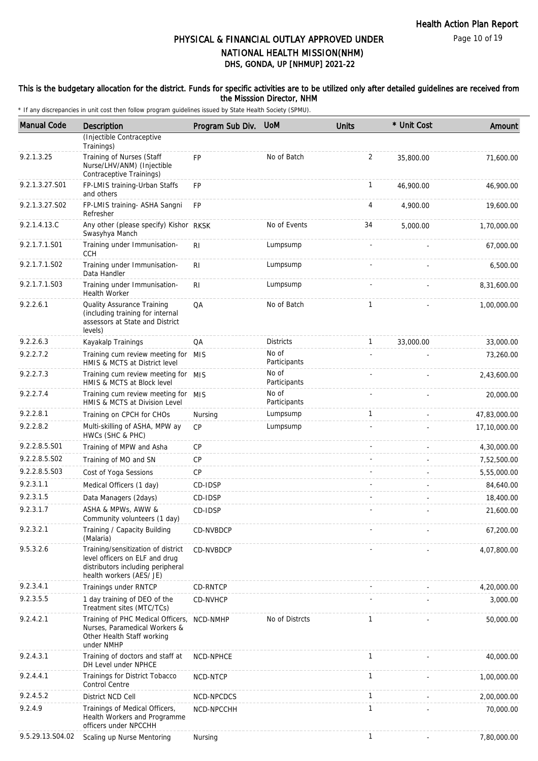### This is the budgetary allocation for the district. Funds for specific activities are to be utilized only after detailed guidelines are received from the Misssion Director, NHM

| <b>Manual Code</b> | Description                                                                                                                           | Program Sub Div. UoM |                       | <b>Units</b>   | * Unit Cost | Amount       |
|--------------------|---------------------------------------------------------------------------------------------------------------------------------------|----------------------|-----------------------|----------------|-------------|--------------|
|                    | (Injectible Contraceptive<br>Trainings)                                                                                               |                      |                       |                |             |              |
| 9.2.1.3.25         | Training of Nurses (Staff<br>Nurse/LHV/ANM) (Injectible<br>Contraceptive Trainings)                                                   | FP                   | No of Batch           | $\overline{2}$ | 35,800.00   | 71,600.00    |
| 9.2.1.3.27.S01     | FP-LMIS training-Urban Staffs<br>and others                                                                                           | <b>FP</b>            |                       | $\mathbf{1}$   | 46,900.00   | 46,900.00    |
| 9.2.1.3.27.S02     | FP-LMIS training- ASHA Sangni<br>Refresher                                                                                            | <b>FP</b>            |                       | 4              | 4,900.00    | 19,600.00    |
| 9.2.1.4.13.C       | Any other (please specify) Kishor RKSK<br>Swasyhya Manch                                                                              |                      | No of Events          | 34             | 5,000.00    | 1,70,000.00  |
| 9.2.1.7.1.S01      | Training under Immunisation-<br><b>CCH</b>                                                                                            | R <sub>l</sub>       | Lumpsump              |                |             | 67,000.00    |
| 9.2.1.7.1.S02      | Training under Immunisation-<br>Data Handler                                                                                          | <b>RI</b>            | Lumpsump              |                |             | 6,500.00     |
| 9.2.1.7.1.S03      | Training under Immunisation-<br><b>Health Worker</b>                                                                                  | R <sub>l</sub>       | Lumpsump              |                |             | 8,31,600.00  |
| 9.2.2.6.1          | Quality Assurance Training<br>(including training for internal<br>assessors at State and District<br>levels)                          | QA                   | No of Batch           | 1              |             | 1,00,000.00  |
| 9.2.2.6.3          | Kayakalp Trainings                                                                                                                    | QA                   | <b>Districts</b>      | $\mathbf{1}$   | 33,000.00   | 33,000.00    |
| 9.2.2.7.2          | Training cum review meeting for<br>HMIS & MCTS at District level                                                                      | <b>MIS</b>           | No of<br>Participants |                |             | 73,260.00    |
| 9.2.2.7.3          | Training cum review meeting for MIS<br>HMIS & MCTS at Block level                                                                     |                      | No of<br>Participants |                |             | 2,43,600.00  |
| 9.2.2.7.4          | Training cum review meeting for<br>HMIS & MCTS at Division Level                                                                      | MIS                  | No of<br>Participants |                |             | 20,000.00    |
| 9.2.2.8.1          | Training on CPCH for CHOs                                                                                                             | Nursing              | Lumpsump              | 1              |             | 47,83,000.00 |
| 9.2.2.8.2          | Multi-skilling of ASHA, MPW ay<br>HWCs (SHC & PHC)                                                                                    | <b>CP</b>            | Lumpsump              |                |             | 17,10,000.00 |
| 9.2.2.8.5.S01      | Training of MPW and Asha                                                                                                              | СP                   |                       |                |             | 4,30,000.00  |
| 9.2.2.8.5.S02      | Training of MO and SN                                                                                                                 | <b>CP</b>            |                       |                |             | 7,52,500.00  |
| 9.2.2.8.5.S03      | Cost of Yoga Sessions                                                                                                                 | <b>CP</b>            |                       |                |             | 5,55,000.00  |
| 9.2.3.1.1          | Medical Officers (1 day)                                                                                                              | CD-IDSP              |                       |                |             | 84,640.00    |
| 9.2.3.1.5          | Data Managers (2days)                                                                                                                 | CD-IDSP              |                       |                |             | 18,400.00    |
| 9.2.3.1.7          | ASHA & MPWs, AWW &<br>Community volunteers (1 day)                                                                                    | CD-IDSP              |                       |                |             | 21,600.00    |
| 9.2.3.2.1          | Training / Capacity Building<br>(Malaria)                                                                                             | CD-NVBDCP            |                       |                |             | 67,200.00    |
| 9.5.3.2.6          | Training/sensitization of district<br>level officers on ELF and drug<br>distributors including peripheral<br>health workers (AES/ JE) | CD-NVBDCP            |                       |                |             | 4,07,800.00  |
| 9.2.3.4.1          | Trainings under RNTCP                                                                                                                 | CD-RNTCP             |                       |                |             | 4,20,000.00  |
| 9.2.3.5.5          | 1 day training of DEO of the<br>Treatment sites (MTC/TCs)                                                                             | CD-NVHCP             |                       |                |             | 3,000.00     |
| 9.2.4.2.1          | Training of PHC Medical Officers,<br>Nurses, Paramedical Workers &<br>Other Health Staff working<br>under NMHP                        | NCD-NMHP             | No of Distrcts        | $\mathbf{1}$   |             | 50,000.00    |
| 9.2.4.3.1          | Training of doctors and staff at<br>DH Level under NPHCE                                                                              | NCD-NPHCE            |                       | 1              |             | 40,000.00    |
| 9.2.4.4.1          | Trainings for District Tobacco<br>Control Centre                                                                                      | NCD-NTCP             |                       | $\mathbf{1}$   |             | 1,00,000.00  |
| 9.2.4.5.2          | District NCD Cell                                                                                                                     | NCD-NPCDCS           |                       | $\mathbf{1}$   |             | 2,00,000.00  |
| 9.2.4.9            | Trainings of Medical Officers,<br>Health Workers and Programme<br>officers under NPCCHH                                               | NCD-NPCCHH           |                       | $\mathbf{1}$   |             | 70,000.00    |
| 9.5.29.13.S04.02   | Scaling up Nurse Mentoring                                                                                                            | Nursing              |                       | 1              |             | 7,80,000.00  |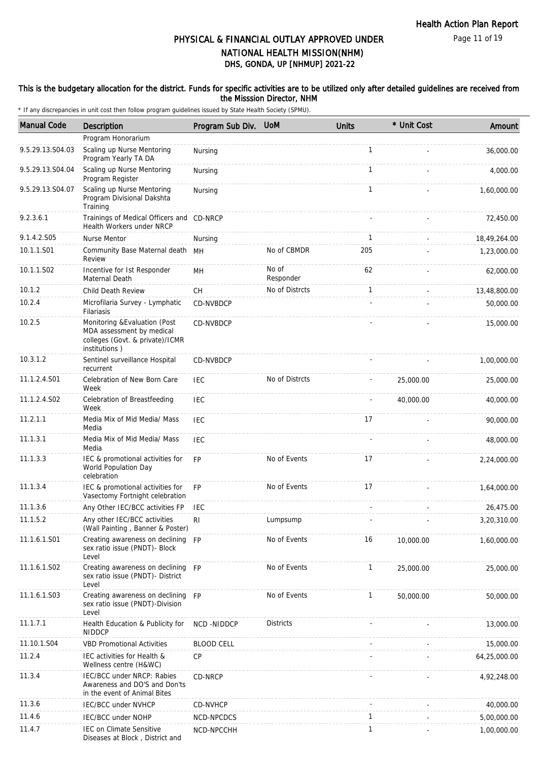Page 11 of 19

# DHS, GONDA, UP [NHMUP] 2021-22 PHYSICAL & FINANCIAL OUTLAY APPROVED UNDER NATIONAL HEALTH MISSION(NHM)

### This is the budgetary allocation for the district. Funds for specific activities are to be utilized only after detailed guidelines are received from the Misssion Director, NHM

| <b>Manual Code</b> | Description                                                                                                    | Program Sub Div. UoM |                    | <b>Units</b> | * Unit Cost | Amount       |
|--------------------|----------------------------------------------------------------------------------------------------------------|----------------------|--------------------|--------------|-------------|--------------|
|                    | Program Honorarium                                                                                             |                      |                    |              |             |              |
| 9.5.29.13.S04.03   | Scaling up Nurse Mentoring<br>Program Yearly TA DA                                                             | Nursing              |                    | $\mathbf{1}$ |             | 36,000.00    |
| 9.5.29.13.S04.04   | Scaling up Nurse Mentoring<br>Program Register                                                                 | Nursing              |                    | 1            |             | 4,000.00     |
| 9.5.29.13.S04.07   | Scaling up Nurse Mentoring<br>Program Divisional Dakshta<br>Training                                           | Nursing              |                    | $\mathbf{1}$ |             | 1,60,000.00  |
| 9.2.3.6.1          | Trainings of Medical Officers and CD-NRCP<br>Health Workers under NRCP                                         |                      |                    |              |             | 72,450.00    |
| 9.1.4.2.S05        | Nurse Mentor                                                                                                   | Nursing              |                    | $\mathbf{1}$ |             | 18,49,264.00 |
| 10.1.1.S01         | Community Base Maternal death MH<br>Review                                                                     |                      | No of CBMDR        | 205          |             | 1,23,000.00  |
| 10.1.1.S02         | Incentive for 1st Responder<br>Maternal Death                                                                  | MН                   | No of<br>Responder | 62           |             | 62,000.00    |
| 10.1.2             | Child Death Review                                                                                             | <b>CH</b>            | No of Distrcts     | $\mathbf{1}$ |             | 13,48,800.00 |
| 10.2.4             | Microfilaria Survey - Lymphatic<br>Filariasis                                                                  | CD-NVBDCP            |                    |              |             | 50,000.00    |
| 10.2.5             | Monitoring & Evaluation (Post<br>MDA assessment by medical<br>colleges (Govt. & private)/ICMR<br>institutions) | CD-NVBDCP            |                    |              |             | 15,000.00    |
| 10.3.1.2           | Sentinel surveillance Hospital<br>recurrent                                                                    | CD-NVBDCP            |                    |              |             | 1,00,000.00  |
| 11.1.2.4.S01       | Celebration of New Born Care<br>Week                                                                           | IEC                  | No of Distrcts     |              | 25,000.00   | 25,000.00    |
| 11.1.2.4.S02       | Celebration of Breastfeeding<br>Week                                                                           | <b>IEC</b>           |                    |              | 40,000.00   | 40,000.00    |
| 11.2.1.1           | Media Mix of Mid Media/ Mass<br>Media                                                                          | <b>IEC</b>           |                    | 17           |             | 90,000.00    |
| 11.1.3.1           | Media Mix of Mid Media/ Mass<br>Media                                                                          | IEC                  |                    |              |             | 48,000.00    |
| 11.1.3.3           | IEC & promotional activities for<br>World Population Day<br>celebration                                        | <b>FP</b>            | No of Events       | 17           |             | 2,24,000.00  |
| 11.1.3.4           | IEC & promotional activities for<br>Vasectomy Fortnight celebration                                            | <b>FP</b>            | No of Events       | 17           |             | 1,64,000.00  |
| 11.1.3.6           | Any Other IEC/BCC activities FP                                                                                | <b>IEC</b>           |                    |              |             | 26,475.00    |
| 11.1.5.2           | Any other IEC/BCC activities<br>(Wall Painting, Banner & Poster)                                               | RI.                  | Lumpsump           |              |             | 3,20,310.00  |
| 11.1.6.1.S01       | Creating awareness on declining FP<br>sex ratio issue (PNDT)- Block<br>Level                                   |                      | No of Events       | 16           | 10,000.00   | 1,60,000.00  |
| 11.1.6.1.S02       | Creating awareness on declining FP<br>sex ratio issue (PNDT)- District<br>Level                                |                      | No of Events       | $\mathbf{1}$ | 25,000.00   | 25,000.00    |
| 11.1.6.1.S03       | Creating awareness on declining FP<br>sex ratio issue (PNDT)-Division<br>Level                                 |                      | No of Events       | $\mathbf{1}$ | 50,000.00   | 50,000.00    |
| 11.1.7.1           | Health Education & Publicity for<br><b>NIDDCP</b>                                                              | NCD -NIDDCP          | <b>Districts</b>   |              |             | 13,000.00    |
| 11.10.1.S04        | <b>VBD Promotional Activities</b>                                                                              | <b>BLOOD CELL</b>    |                    |              |             | 15,000.00    |
| 11.2.4             | IEC activities for Health &<br>Wellness centre (H&WC)                                                          | <b>CP</b>            |                    |              |             | 64,25,000.00 |
| 11.3.4             | IEC/BCC under NRCP: Rabies<br>Awareness and DO'S and Don'ts<br>in the event of Animal Bites                    | CD-NRCP              |                    |              |             | 4,92,248.00  |
| 11.3.6             | <b>IEC/BCC under NVHCP</b>                                                                                     | CD-NVHCP             |                    |              |             | 40,000.00    |
| 11.4.6             | <b>IEC/BCC under NOHP</b>                                                                                      | NCD-NPCDCS           |                    | $\mathbf{1}$ |             | 5,00,000.00  |
| 11.4.7             | <b>IEC on Climate Sensitive</b><br>Diseases at Block, District and                                             | NCD-NPCCHH           |                    | $\mathbf{1}$ |             | 1,00,000.00  |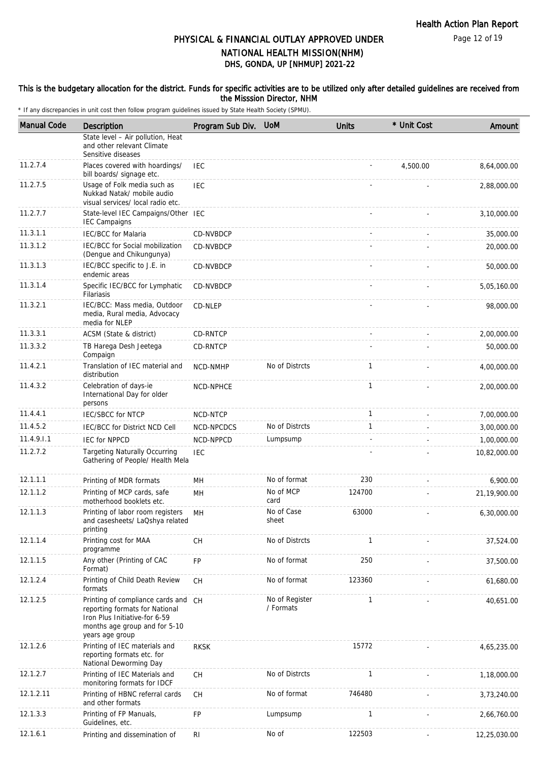### This is the budgetary allocation for the district. Funds for specific activities are to be utilized only after detailed guidelines are received from the Misssion Director, NHM

| <b>Manual Code</b> | Description                                                                                                                                                | Program Sub Div. | <b>UoM</b>                  | <b>Units</b> | * Unit Cost | Amount       |
|--------------------|------------------------------------------------------------------------------------------------------------------------------------------------------------|------------------|-----------------------------|--------------|-------------|--------------|
|                    | State level - Air pollution, Heat<br>and other relevant Climate<br>Sensitive diseases                                                                      |                  |                             |              |             |              |
| 11.2.7.4           | Places covered with hoardings/<br>bill boards/ signage etc.                                                                                                | <b>IEC</b>       |                             |              | 4,500.00    | 8,64,000.00  |
| 11.2.7.5           | Usage of Folk media such as<br>Nukkad Natak/ mobile audio<br>visual services/ local radio etc.                                                             | <b>IEC</b>       |                             |              |             | 2,88,000.00  |
| 11.2.7.7           | State-level IEC Campaigns/Other IEC<br><b>IEC Campaigns</b>                                                                                                |                  |                             |              |             | 3,10,000.00  |
| 11.3.1.1           | <b>IEC/BCC</b> for Malaria                                                                                                                                 | CD-NVBDCP        |                             |              |             | 35,000.00    |
| 11.3.1.2           | IEC/BCC for Social mobilization<br>(Dengue and Chikungunya)                                                                                                | CD-NVBDCP        |                             |              |             | 20,000.00    |
| 11.3.1.3           | IEC/BCC specific to J.E. in<br>endemic areas                                                                                                               | CD-NVBDCP        |                             |              |             | 50,000.00    |
| 11.3.1.4           | Specific IEC/BCC for Lymphatic<br>Filariasis                                                                                                               | CD-NVBDCP        |                             |              |             | 5,05,160.00  |
| 11.3.2.1           | IEC/BCC: Mass media, Outdoor<br>media, Rural media, Advocacy<br>media for NLEP                                                                             | CD-NLEP          |                             |              |             | 98,000.00    |
| 11.3.3.1           | ACSM (State & district)                                                                                                                                    | CD-RNTCP         |                             |              |             | 2,00,000.00  |
| 11.3.3.2           | TB Harega Desh Jeetega<br>Compaign                                                                                                                         | CD-RNTCP         |                             |              |             | 50,000.00    |
| 11.4.2.1           | Translation of IEC material and<br>distribution                                                                                                            | NCD-NMHP         | No of Distrcts              | $\mathbf{1}$ |             | 4,00,000.00  |
| 11.4.3.2           | Celebration of days-ie<br>International Day for older<br>persons                                                                                           | NCD-NPHCE        |                             | $\mathbf{1}$ |             | 2,00,000.00  |
| 11.4.4.1           | <b>IEC/SBCC for NTCP</b>                                                                                                                                   | NCD-NTCP         |                             | $\mathbf{1}$ |             | 7,00,000.00  |
| 11.4.5.2           | IEC/BCC for District NCD Cell                                                                                                                              | NCD-NPCDCS       | No of Distrcts              | $\mathbf{1}$ |             | 3,00,000.00  |
| 11.4.9.1.1         | <b>IEC for NPPCD</b>                                                                                                                                       | NCD-NPPCD        | Lumpsump                    |              |             | 1,00,000.00  |
| 11.2.7.2           | <b>Targeting Naturally Occurring</b><br>Gathering of People/ Health Mela                                                                                   | <b>IEC</b>       |                             |              |             | 10,82,000.00 |
| 12.1.1.1           | Printing of MDR formats                                                                                                                                    | MH               | No of format                | 230          |             | 6,900.00     |
| 12.1.1.2           | Printing of MCP cards, safe<br>motherhood booklets etc.                                                                                                    | MН               | No of MCP<br>card           | 124700       |             | 21,19,900.00 |
| 12.1.1.3           | Printing of labor room registers<br>and casesheets/ LaQshya related<br>printing                                                                            | MН               | No of Case<br>sheet         | 63000        |             | 6,30,000.00  |
| 12.1.1.4           | Printing cost for MAA<br>programme                                                                                                                         | CH               | No of Distrcts              | $\mathbf{1}$ |             | 37,524.00    |
| 12.1.1.5           | Any other (Printing of CAC<br>Format)                                                                                                                      | FP               | No of format                | 250          |             | 37,500.00    |
| 12.1.2.4           | Printing of Child Death Review<br>formats                                                                                                                  | CH               | No of format                | 123360       |             | 61,680.00    |
| 12.1.2.5           | Printing of compliance cards and CH<br>reporting formats for National<br>Iron Plus Initiative-for 6-59<br>months age group and for 5-10<br>years age group |                  | No of Register<br>/ Formats | $\mathbf{1}$ |             | 40,651.00    |
| 12.1.2.6           | Printing of IEC materials and<br>reporting formats etc. for<br>National Deworming Day                                                                      | <b>RKSK</b>      |                             | 15772        |             | 4,65,235.00  |
| 12.1.2.7           | Printing of IEC Materials and<br>monitoring formats for IDCF                                                                                               | <b>CH</b>        | No of Distrcts              | $\mathbf{1}$ |             | 1,18,000.00  |
| 12.1.2.11          | Printing of HBNC referral cards<br>and other formats                                                                                                       | CH               | No of format                | 746480       |             | 3,73,240.00  |
| 12.1.3.3           | Printing of FP Manuals,<br>Guidelines, etc.                                                                                                                | FP               | Lumpsump                    | $\mathbf{1}$ |             | 2,66,760.00  |
| 12.1.6.1           | Printing and dissemination of                                                                                                                              | RI               | No of                       | 122503       |             | 12,25,030.00 |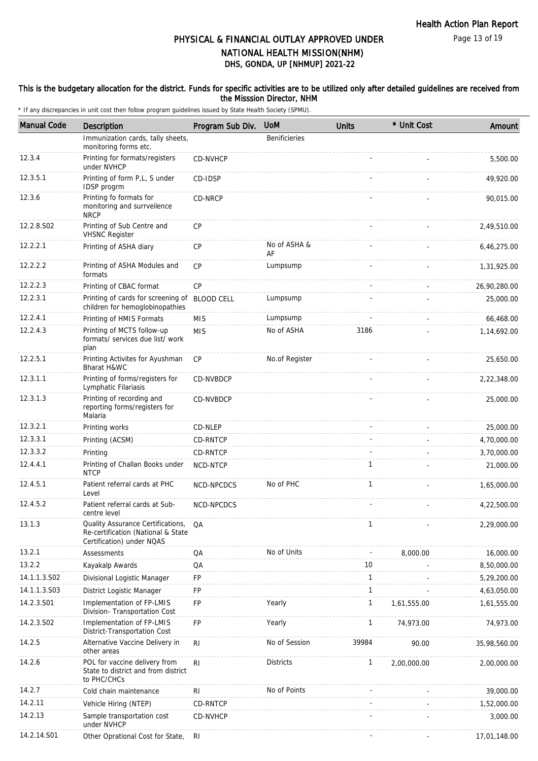Page 13 of 19

# DHS, GONDA, UP [NHMUP] 2021-22 PHYSICAL & FINANCIAL OUTLAY APPROVED UNDER NATIONAL HEALTH MISSION(NHM)

### This is the budgetary allocation for the district. Funds for specific activities are to be utilized only after detailed guidelines are received from the Misssion Director, NHM

| <b>Manual Code</b> | Description                                                                                          | Program Sub Div.  | <b>UoM</b>           | <b>Units</b> | * Unit Cost | Amount       |
|--------------------|------------------------------------------------------------------------------------------------------|-------------------|----------------------|--------------|-------------|--------------|
|                    | Immunization cards, tally sheets,<br>monitoring forms etc.                                           |                   | <b>Benificieries</b> |              |             |              |
| 12.3.4             | Printing for formats/registers<br>under NVHCP                                                        | CD-NVHCP          |                      |              |             | 5,500.00     |
| 12.3.5.1           | Printing of form P,L, S under<br>IDSP progrm                                                         | CD-IDSP           |                      |              |             | 49,920.00    |
| 12.3.6             | Printing fo formats for<br>monitoring and surrveilence<br><b>NRCP</b>                                | CD-NRCP           |                      |              |             | 90,015.00    |
| 12.2.8.S02         | Printing of Sub Centre and<br><b>VHSNC Register</b>                                                  | CP                |                      |              |             | 2,49,510.00  |
| 12.2.2.1           | Printing of ASHA diary                                                                               | <b>CP</b>         | No of ASHA &<br>AF   |              |             | 6,46,275.00  |
| 12.2.2.2           | Printing of ASHA Modules and<br>formats                                                              | <b>CP</b>         | Lumpsump             |              |             | 1,31,925.00  |
| 12.2.2.3           | Printing of CBAC format                                                                              | CP                |                      |              |             | 26,90,280.00 |
| 12.2.3.1           | Printing of cards for screening of<br>children for hemoglobinopathies                                | <b>BLOOD CELL</b> | Lumpsump             |              |             | 25,000.00    |
| 12.2.4.1           | Printing of HMIS Formats                                                                             | <b>MIS</b>        | Lumpsump             |              |             | 66,468.00    |
| 12.2.4.3           | Printing of MCTS follow-up<br>formats/ services due list/ work<br>plan                               | <b>MIS</b>        | No of ASHA           | 3186         |             | 1,14,692.00  |
| 12.2.5.1           | Printing Activites for Ayushman<br>Bharat H&WC                                                       | <b>CP</b>         | No.of Register       |              |             | 25,650.00    |
| 12.3.1.1           | Printing of forms/registers for<br>Lymphatic Filariasis                                              | CD-NVBDCP         |                      |              |             | 2,22,348.00  |
| 12.3.1.3           | Printing of recording and<br>reporting forms/registers for<br>Malaria                                | CD-NVBDCP         |                      |              |             | 25,000.00    |
| 12.3.2.1           | Printing works                                                                                       | CD-NLEP           |                      |              |             | 25,000.00    |
| 12.3.3.1           | Printing (ACSM)                                                                                      | CD-RNTCP          |                      |              |             | 4,70,000.00  |
| 12.3.3.2           | Printing                                                                                             | CD-RNTCP          |                      |              |             | 3,70,000.00  |
| 12.4.4.1           | Printing of Challan Books under<br><b>NTCP</b>                                                       | NCD-NTCP          |                      | $\mathbf{1}$ |             | 21,000.00    |
| 12.4.5.1           | Patient referral cards at PHC<br>Level                                                               | NCD-NPCDCS        | No of PHC            | 1            |             | 1,65,000.00  |
| 12.4.5.2           | Patient referral cards at Sub-<br>centre level                                                       | NCD-NPCDCS        |                      |              |             | 4,22,500.00  |
| 13.1.3             | Quality Assurance Certifications,<br>Re-certification (National & State<br>Certification) under NQAS | QA                |                      | $\mathbf{1}$ |             | 2,29,000.00  |
| 13.2.1             | <b>Assessments</b>                                                                                   | QA                | No of Units          |              | 8,000.00    | 16,000.00    |
| 13.2.2             | Kayakalp Awards                                                                                      | QA                |                      | 10           |             | 8,50,000.00  |
| 14.1.1.3.S02       | Divisional Logistic Manager                                                                          | FP                |                      | $\mathbf{1}$ |             | 5,29,200.00  |
| 14.1.1.3.S03       | District Logistic Manager                                                                            | FP                |                      | $\mathbf{1}$ |             | 4,63,050.00  |
| 14.2.3.S01         | Implementation of FP-LMIS<br>Division- Transportation Cost                                           | FP                | Yearly               | 1            | 1,61,555.00 | 1,61,555.00  |
| 14.2.3.S02         | Implementation of FP-LMIS<br>District-Transportation Cost                                            | FP                | Yearly               | 1            | 74,973.00   | 74,973.00    |
| 14.2.5             | Alternative Vaccine Delivery in<br>other areas                                                       | R <sub>l</sub>    | No of Session        | 39984        | 90.00       | 35,98,560.00 |
| 14.2.6             | POL for vaccine delivery from<br>State to district and from district<br>to PHC/CHCs                  | R <sub>l</sub>    | <b>Districts</b>     | $\mathbf{1}$ | 2,00,000.00 | 2,00,000.00  |
| 14.2.7             | Cold chain maintenance                                                                               | R <sub>l</sub>    | No of Points         |              |             | 39,000.00    |
| 14.2.11            | Vehicle Hiring (NTEP)                                                                                | CD-RNTCP          |                      |              |             | 1,52,000.00  |
| 14.2.13            | Sample transportation cost<br>under NVHCP                                                            | CD-NVHCP          |                      |              |             | 3,000.00     |
| 14.2.14.S01        | Other Oprational Cost for State,                                                                     | RI                |                      |              |             | 17,01,148.00 |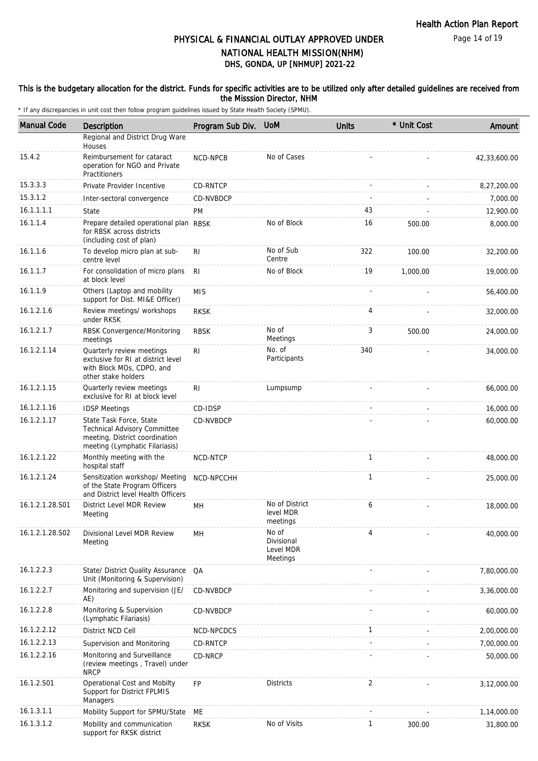Page 14 of 19

# DHS, GONDA, UP [NHMUP] 2021-22 PHYSICAL & FINANCIAL OUTLAY APPROVED UNDER NATIONAL HEALTH MISSION(NHM)

### This is the budgetary allocation for the district. Funds for specific activities are to be utilized only after detailed guidelines are received from the Misssion Director, NHM

| <b>Manual Code</b> | Description                                                                                                                 | Program Sub Div. | <b>UoM</b>                                   | <b>Units</b> | * Unit Cost | Amount       |
|--------------------|-----------------------------------------------------------------------------------------------------------------------------|------------------|----------------------------------------------|--------------|-------------|--------------|
|                    | Regional and District Drug Ware<br>Houses                                                                                   |                  |                                              |              |             |              |
| 15.4.2             | Reimbursement for cataract<br>operation for NGO and Private<br>Practitioners                                                | NCD-NPCB         | No of Cases                                  |              |             | 42,33,600.00 |
| 15.3.3.3           | Private Provider Incentive                                                                                                  | CD-RNTCP         |                                              |              |             | 8,27,200.00  |
| 15.3.1.2           | Inter-sectoral convergence                                                                                                  | CD-NVBDCP        |                                              |              |             | 7,000.00     |
| 16.1.1.1.1         | State                                                                                                                       | PM               |                                              | 43           |             | 12,900.00    |
| 16.1.1.4           | Prepare detailed operational plan RBSK<br>for RBSK across districts<br>(including cost of plan)                             |                  | No of Block                                  | 16           | 500.00      | 8,000.00     |
| 16.1.1.6           | To develop micro plan at sub-<br>centre level                                                                               | R <sub>1</sub>   | No of Sub<br>Centre                          | 322          | 100.00      | 32,200.00    |
| 16.1.1.7           | For consolidation of micro plans<br>at block level                                                                          | R <sub>l</sub>   | No of Block                                  | 19           | 1,000.00    | 19,000.00    |
| 16.1.1.9           | Others (Laptop and mobility<br>support for Dist. MI&E Officer)                                                              | <b>MIS</b>       |                                              |              |             | 56,400.00    |
| 16.1.2.1.6         | Review meetings/ workshops<br>under RKSK                                                                                    | <b>RKSK</b>      |                                              | 4            |             | 32,000.00    |
| 16.1.2.1.7         | RBSK Convergence/Monitoring<br>meetings                                                                                     | <b>RBSK</b>      | No of<br>Meetings                            | 3            | 500.00      | 24,000.00    |
| 16.1.2.1.14        | Quarterly review meetings<br>exclusive for RI at district level<br>with Block MOs, CDPO, and<br>other stake holders         | R <sub>l</sub>   | No. of<br>Participants                       | 340          |             | 34,000.00    |
| 16.1.2.1.15        | Quarterly review meetings<br>exclusive for RI at block level                                                                | R <sub>l</sub>   | Lumpsump                                     |              |             | 66,000.00    |
| 16.1.2.1.16        | <b>IDSP Meetings</b>                                                                                                        | CD-IDSP          |                                              |              |             | 16,000.00    |
| 16.1.2.1.17        | State Task Force, State<br>Technical Advisory Committee<br>meeting, District coordination<br>meeting (Lymphatic Filariasis) | CD-NVBDCP        |                                              |              |             | 60,000.00    |
| 16.1.2.1.22        | Monthly meeting with the<br>hospital staff                                                                                  | NCD-NTCP         |                                              | $\mathbf{1}$ |             | 48,000.00    |
| 16.1.2.1.24        | Sensitization workshop/ Meeting<br>of the State Program Officers<br>and District level Health Officers                      | NCD-NPCCHH       |                                              | $\mathbf{1}$ |             | 25,000.00    |
| 16.1.2.1.28.S01    | District Level MDR Review<br>Meeting                                                                                        | MН               | No of District<br>level MDR<br>meetings      | 6            |             | 18,000.00    |
| 16.1.2.1.28.S02    | Divisional Level MDR Review<br>Meeting                                                                                      | <b>MH</b>        | No of<br>Divisional<br>Level MDR<br>Meetings | 4            |             | 40,000.00    |
| 16.1.2.2.3         | State/ District Quality Assurance<br>Unit (Monitoring & Supervision)                                                        | QA               |                                              |              |             | 7,80,000.00  |
| 16.1.2.2.7         | Monitoring and supervision (JE/<br>AE)                                                                                      | CD-NVBDCP        |                                              |              |             | 3,36,000.00  |
| 16.1.2.2.8         | Monitoring & Supervision<br>(Lymphatic Filariasis)                                                                          | CD-NVBDCP        |                                              |              |             | 60,000.00    |
| 16.1.2.2.12        | District NCD Cell                                                                                                           | NCD-NPCDCS       |                                              | 1            |             | 2,00,000.00  |
| 16.1.2.2.13        | Supervision and Monitoring                                                                                                  | CD-RNTCP         |                                              |              |             | 7,00,000.00  |
| 16.1.2.2.16        | Monitoring and Surveillance<br>(review meetings, Travel) under<br><b>NRCP</b>                                               | CD-NRCP          |                                              |              |             | 50,000.00    |
| 16.1.2.S01         | Operational Cost and Mobilty<br>Support for District FPLMIS<br>Managers                                                     | <b>FP</b>        | <b>Districts</b>                             | 2            |             | 3,12,000.00  |
| 16.1.3.1.1         | Mobility Support for SPMU/State                                                                                             | ME               |                                              |              |             | 1,14,000.00  |
| 16.1.3.1.2         | Mobility and communication<br>support for RKSK district                                                                     | <b>RKSK</b>      | No of Visits                                 | $\mathbf{1}$ | 300.00      | 31,800.00    |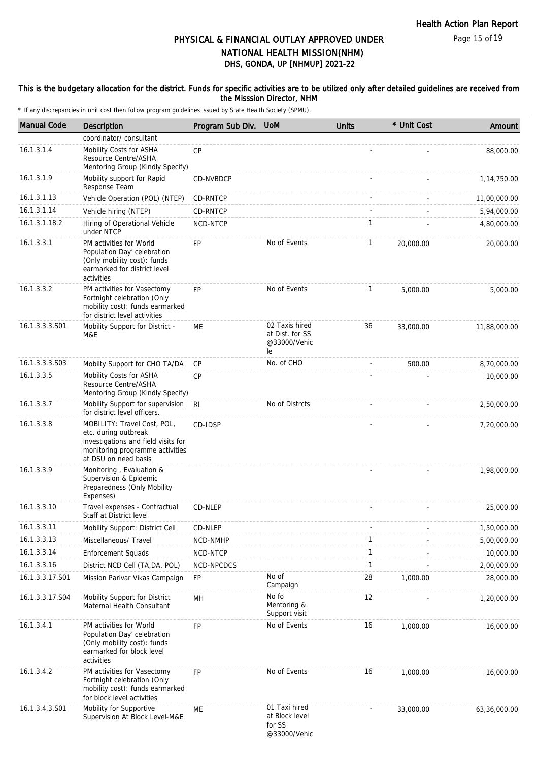### This is the budgetary allocation for the district. Funds for specific activities are to be utilized only after detailed guidelines are received from the Misssion Director, NHM

| <b>Manual Code</b> | Description                                                                                                                                           | Program Sub Div. UoM |                                                           | <b>Units</b> | * Unit Cost | Amount       |
|--------------------|-------------------------------------------------------------------------------------------------------------------------------------------------------|----------------------|-----------------------------------------------------------|--------------|-------------|--------------|
|                    | coordinator/consultant                                                                                                                                |                      |                                                           |              |             |              |
| 16.1.3.1.4         | Mobility Costs for ASHA<br>Resource Centre/ASHA<br>Mentoring Group (Kindly Specify)                                                                   | CP                   |                                                           |              |             | 88,000.00    |
| 16.1.3.1.9         | Mobility support for Rapid<br>Response Team                                                                                                           | CD-NVBDCP            |                                                           |              |             | 1,14,750.00  |
| 16.1.3.1.13        | Vehicle Operation (POL) (NTEP)                                                                                                                        | CD-RNTCP             |                                                           |              |             | 11,00,000.00 |
| 16.1.3.1.14        | Vehicle hiring (NTEP)                                                                                                                                 | CD-RNTCP             |                                                           |              |             | 5,94,000.00  |
| 16.1.3.1.18.2      | Hiring of Operational Vehicle<br>under NTCP                                                                                                           | NCD-NTCP             |                                                           | $\mathbf{1}$ |             | 4,80,000.00  |
| 16.1.3.3.1         | PM activities for World<br>Population Day' celebration<br>(Only mobility cost): funds<br>earmarked for district level<br>activities                   | FP                   | No of Events                                              | 1            | 20,000.00   | 20,000.00    |
| 16.1.3.3.2         | PM activities for Vasectomy<br>Fortnight celebration (Only<br>mobility cost): funds earmarked<br>for district level activities                        | FP                   | No of Events                                              | $\mathbf{1}$ | 5.000.00    | 5,000.00     |
| 16.1.3.3.3.S01     | Mobility Support for District -<br>M&E                                                                                                                | ME                   | 02 Taxis hired<br>at Dist. for SS<br>@33000/Vehic<br>le   | 36           | 33,000.00   | 11,88,000.00 |
| 16.1.3.3.3.S03     | Mobilty Support for CHO TA/DA                                                                                                                         | <b>CP</b>            | No. of CHO                                                |              | 500.00      | 8,70,000.00  |
| 16.1.3.3.5         | Mobility Costs for ASHA<br>Resource Centre/ASHA<br>Mentoring Group (Kindly Specify)                                                                   | <b>CP</b>            |                                                           |              |             | 10,000.00    |
| 16.1.3.3.7         | Mobility Support for supervision<br>for district level officers.                                                                                      | R <sub>l</sub>       | No of Distrcts                                            |              |             | 2,50,000.00  |
| 16.1.3.3.8         | MOBILITY: Travel Cost, POL,<br>etc. during outbreak<br>investigations and field visits for<br>monitoring programme activities<br>at DSU on need basis | CD-IDSP              |                                                           |              |             | 7,20,000.00  |
| 16.1.3.3.9         | Monitoring, Evaluation &<br>Supervision & Epidemic<br>Preparedness (Only Mobility<br>Expenses)                                                        |                      |                                                           |              |             | 1,98,000.00  |
| 16.1.3.3.10        | Travel expenses - Contractual<br>Staff at District level                                                                                              | CD-NLEP              |                                                           |              |             | 25,000.00    |
| 16.1.3.3.11        | Mobility Support: District Cell                                                                                                                       | CD-NLEP              |                                                           |              |             | 1,50,000.00  |
| 16.1.3.3.13        | Miscellaneous/ Travel                                                                                                                                 | NCD-NMHP             |                                                           | $\mathbf{1}$ |             | 5,00,000.00  |
| 16.1.3.3.14        | <b>Enforcement Squads</b>                                                                                                                             | NCD-NTCP             |                                                           | $\mathbf{1}$ |             | 10,000.00    |
| 16.1.3.3.16        | District NCD Cell (TA, DA, POL)                                                                                                                       | NCD-NPCDCS           |                                                           | $\mathbf{1}$ |             | 2,00,000.00  |
| 16.1.3.3.17.S01    | Mission Parivar Vikas Campaign                                                                                                                        | FP                   | No of<br>Campaign                                         | 28           | 1,000.00    | 28,000.00    |
| 16.1.3.3.17.S04    | Mobility Support for District<br>Maternal Health Consultant                                                                                           | MH                   | No fo<br>Mentoring &<br>Support visit                     | 12           |             | 1,20,000.00  |
| 16.1.3.4.1         | PM activities for World<br>Population Day' celebration<br>(Only mobility cost): funds<br>earmarked for block level<br>activities                      | <b>FP</b>            | No of Events                                              | 16           | 1.000.00    | 16,000.00    |
| 16.1.3.4.2         | PM activities for Vasectomy<br>Fortnight celebration (Only<br>mobility cost): funds earmarked<br>for block level activities                           | FP                   | No of Events                                              | 16           | 1,000.00    | 16,000.00    |
| 16.1.3.4.3.S01     | Mobility for Supportive<br>Supervision At Block Level-M&E                                                                                             | ME                   | 01 Taxi hired<br>at Block level<br>for SS<br>@33000/Vehic |              | 33,000.00   | 63,36,000.00 |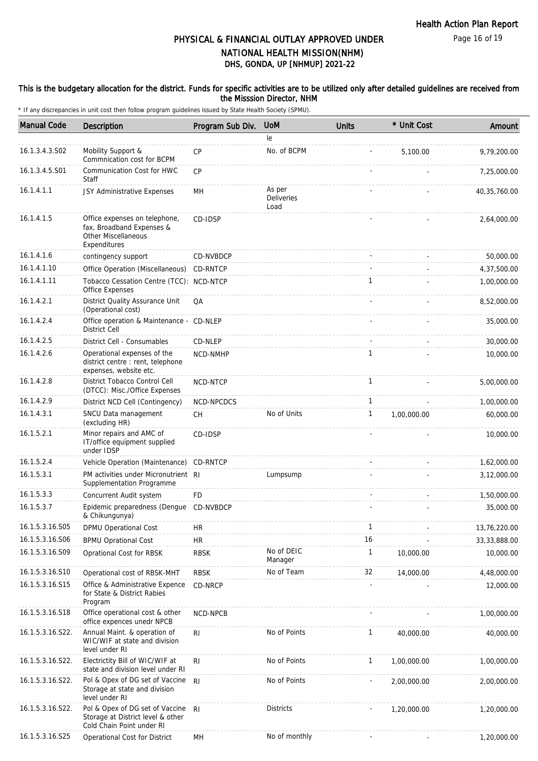### This is the budgetary allocation for the district. Funds for specific activities are to be utilized only after detailed guidelines are received from the Misssion Director, NHM

| <b>Manual Code</b> | <b>Description</b>                                                                                       | Program Sub Div. | <b>UoM</b>                   | <b>Units</b> | * Unit Cost | Amount         |
|--------------------|----------------------------------------------------------------------------------------------------------|------------------|------------------------------|--------------|-------------|----------------|
|                    |                                                                                                          |                  | le                           |              |             |                |
| 16.1.3.4.3.S02     | Mobility Support &<br>Commnication cost for BCPM                                                         | <b>CP</b>        | No. of BCPM                  |              | 5,100.00    | 9,79,200.00    |
| 16.1.3.4.5.S01     | Communication Cost for HWC<br>Staff                                                                      | CP               |                              |              |             | 7,25,000.00    |
| 16.1.4.1.1         | JSY Administrative Expenses                                                                              | MН               | As per<br>Deliveries<br>Load |              |             | 40,35,760.00   |
| 16.1.4.1.5         | Office expenses on telephone,<br>fax, Broadband Expenses &<br><b>Other Miscellaneous</b><br>Expenditures | CD-IDSP          |                              |              |             | 2,64,000.00    |
| 16.1.4.1.6         | contingency support                                                                                      | <b>CD-NVBDCP</b> |                              |              |             | 50,000.00      |
| 16.1.4.1.10        | Office Operation (Miscellaneous)                                                                         | CD-RNTCP         |                              |              |             | 4,37,500.00    |
| 16.1.4.1.11        | Tobacco Cessation Centre (TCC): NCD-NTCP<br>Office Expenses                                              |                  |                              | 1            |             | 1,00,000.00    |
| 16.1.4.2.1         | District Quality Assurance Unit<br>(Operational cost)                                                    | QA               |                              |              |             | 8,52,000.00    |
| 16.1.4.2.4         | Office operation & Maintenance - CD-NLEP<br><b>District Cell</b>                                         |                  |                              |              |             | 35,000.00      |
| 16.1.4.2.5         | District Cell - Consumables                                                                              | CD-NLEP          |                              |              |             | 30,000.00      |
| 16.1.4.2.6         | Operational expenses of the<br>district centre : rent, telephone<br>expenses, website etc.               | NCD-NMHP         |                              | $\mathbf{1}$ |             | 10,000.00      |
| 16.1.4.2.8         | District Tobacco Control Cell<br>(DTCC): Misc./Office Expenses                                           | NCD-NTCP         |                              | $\mathbf{1}$ |             | 5,00,000.00    |
| 16.1.4.2.9         | District NCD Cell (Contingency)                                                                          | NCD-NPCDCS       |                              | $\mathbf{1}$ |             | 1,00,000.00    |
| 16.1.4.3.1         | SNCU Data management<br>(excluding HR)                                                                   | <b>CH</b>        | No of Units                  | $\mathbf{1}$ | 1,00,000.00 | 60,000.00      |
| 16.1.5.2.1         | Minor repairs and AMC of<br>IT/office equipment supplied<br>under IDSP                                   | CD-IDSP          |                              |              |             | 10,000.00      |
| 16.1.5.2.4         | Vehicle Operation (Maintenance)                                                                          | CD-RNTCP         |                              |              |             | 1,62,000.00    |
| 16.1.5.3.1         | PM activities under Micronutrient RI<br>Supplementation Programme                                        |                  | Lumpsump                     |              |             | 3,12,000.00    |
| 16.1.5.3.3         | Concurrent Audit system                                                                                  | <b>FD</b>        |                              |              |             | 1,50,000.00    |
| 16.1.5.3.7         | Epidemic preparedness (Dengue CD-NVBDCP<br>& Chikungunya)                                                |                  |                              |              |             | 35,000.00      |
| 16.1.5.3.16.S05    | DPMU Operational Cost                                                                                    | <b>HR</b>        |                              | 1            |             | 13,76,220.00   |
| 16.1.5.3.16.S06    | <b>BPMU Oprational Cost</b>                                                                              | <b>HR</b>        |                              | 16           |             | 33, 33, 888.00 |
| 16.1.5.3.16.S09    | Oprational Cost for RBSK                                                                                 | RBSK             | No of DEIC<br>Manager        | 1            | 10,000.00   | 10,000.00      |
| 16.1.5.3.16.S10    | Operational cost of RBSK-MHT                                                                             | RBSK             | No of Team                   | 32           | 14,000.00   | 4,48,000.00    |
| 16.1.5.3.16.S15    | Office & Administrative Expence<br>for State & District Rabies<br>Program                                | CD-NRCP          |                              |              |             | 12,000.00      |
| 16.1.5.3.16.S18    | Office operational cost & other<br>office expences unedr NPCB                                            | NCD-NPCB         |                              |              |             | 1,00,000.00    |
| 16.1.5.3.16.S22.   | Annual Maint. & operation of<br>WIC/WIF at state and division<br>level under RI                          | R <sub>l</sub>   | No of Points                 | 1            | 40,000.00   | 40,000.00      |
| 16.1.5.3.16.S22.   | Electrictity Bill of WIC/WIF at<br>state and division level under RI                                     | RI               | No of Points                 | $\mathbf{1}$ | 1,00,000.00 | 1,00,000.00    |
| 16.1.5.3.16.S22.   | Pol & Opex of DG set of Vaccine<br>Storage at state and division<br>level under RI                       | R <sub>l</sub>   | No of Points                 |              | 2,00,000.00 | 2,00,000.00    |
| 16.1.5.3.16.S22.   | Pol & Opex of DG set of Vaccine<br>Storage at District level & other<br>Cold Chain Point under RI        | R <sub>l</sub>   | <b>Districts</b>             |              | 1,20,000.00 | 1,20,000.00    |
| 16.1.5.3.16.S25    | Operational Cost for District                                                                            | MH               | No of monthly                |              |             | 1,20,000.00    |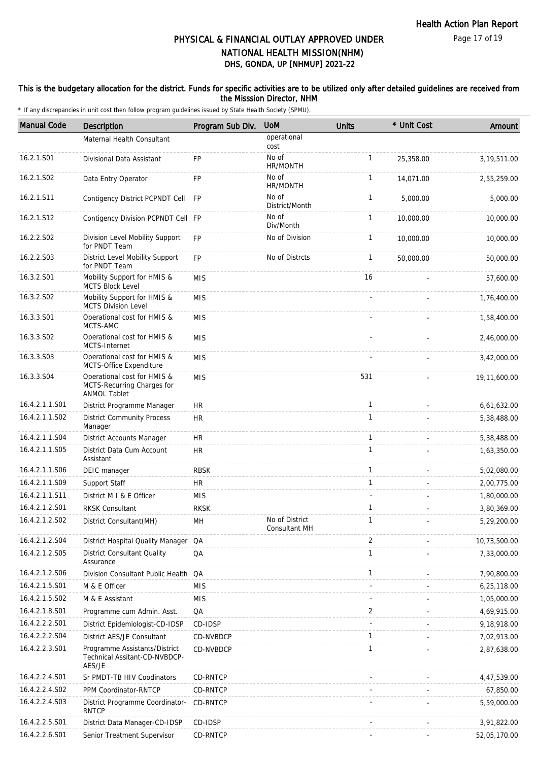### This is the budgetary allocation for the district. Funds for specific activities are to be utilized only after detailed guidelines are received from the Misssion Director, NHM

| <b>Manual Code</b> | Description                                                                      | Program Sub Div. | <b>UoM</b>                      | Units        | * Unit Cost | Amount       |
|--------------------|----------------------------------------------------------------------------------|------------------|---------------------------------|--------------|-------------|--------------|
|                    | Maternal Health Consultant                                                       |                  | operational<br>cost             |              |             |              |
| 16.2.1.S01         | Divisional Data Assistant                                                        | <b>FP</b>        | No of<br>HR/MONTH               | $\mathbf{1}$ | 25,358.00   | 3,19,511.00  |
| 16.2.1.S02         | Data Entry Operator                                                              | <b>FP</b>        | No of<br>HR/MONTH               | $\mathbf{1}$ | 14.071.00   | 2,55,259.00  |
| 16.2.1.S11         | Contigency District PCPNDT Cell FP                                               |                  | No of<br>District/Month         | $\mathbf{1}$ | 5,000.00    | 5,000.00     |
| 16.2.1.S12         | Contigency Division PCPNDT Cell FP                                               |                  | No of<br>Div/Month              | $\mathbf{1}$ | 10,000.00   | 10,000.00    |
| 16.2.2.S02         | Division Level Mobility Support<br>for PNDT Team                                 | <b>FP</b>        | No of Division                  | $\mathbf{1}$ | 10,000.00   | 10,000.00    |
| 16.2.2.S03         | District Level Mobility Support<br>for PNDT Team                                 | <b>FP</b>        | No of Distrcts                  | $\mathbf{1}$ | 50,000.00   | 50,000.00    |
| 16.3.2.S01         | Mobility Support for HMIS &<br>MCTS Block Level                                  | <b>MIS</b>       |                                 | 16           |             | 57,600.00    |
| 16.3.2.S02         | Mobility Support for HMIS &<br><b>MCTS Division Level</b>                        | <b>MIS</b>       |                                 |              |             | 1,76,400.00  |
| 16.3.3.S01         | Operational cost for HMIS &<br>MCTS-AMC                                          | <b>MIS</b>       |                                 |              |             | 1,58,400.00  |
| 16.3.3.S02         | Operational cost for HMIS &<br><b>MCTS-Internet</b>                              | <b>MIS</b>       |                                 |              |             | 2,46,000.00  |
| 16.3.3.S03         | Operational cost for HMIS &<br>MCTS-Office Expenditure                           | <b>MIS</b>       |                                 |              |             | 3,42,000.00  |
| 16.3.3.S04         | Operational cost for HMIS &<br>MCTS-Recurring Charges for<br><b>ANMOL Tablet</b> | <b>MIS</b>       |                                 | 531          |             | 19,11,600.00 |
| 16.4.2.1.1.S01     | District Programme Manager                                                       | HR               |                                 | $\mathbf{1}$ |             | 6,61,632.00  |
| 16.4.2.1.1.S02     | <b>District Community Process</b><br>Manager                                     | <b>HR</b>        |                                 | $\mathbf{1}$ |             | 5,38,488.00  |
| 16.4.2.1.1.S04     | District Accounts Manager                                                        | HR               |                                 | 1            |             | 5,38,488.00  |
| 16.4.2.1.1.S05     | District Data Cum Account<br>Assistant                                           | <b>HR</b>        |                                 | $\mathbf{1}$ |             | 1,63,350.00  |
| 16.4.2.1.1.S06     | DEIC manager                                                                     | <b>RBSK</b>      |                                 | $\mathbf{1}$ |             | 5,02,080.00  |
| 16.4.2.1.1.S09     | Support Staff                                                                    | <b>HR</b>        |                                 | $\mathbf{1}$ |             | 2,00,775.00  |
| 16.4.2.1.1.S11     | District M I & E Officer                                                         | <b>MIS</b>       |                                 |              |             | 1,80,000.00  |
| 16.4.2.1.2.S01     | <b>RKSK Consultant</b>                                                           | <b>RKSK</b>      |                                 | $\mathbf{1}$ |             | 3,80,369.00  |
| 16.4.2.1.2.S02     | District Consultant(MH)                                                          | MH               | No of District<br>Consultant MH | 1            |             | 5,29,200.00  |
| 16.4.2.1.2.S04     | District Hospital Quality Manager QA                                             |                  |                                 | 2            |             | 10,73,500.00 |
| 16.4.2.1.2.S05     | <b>District Consultant Quality</b><br>Assurance                                  | QA               |                                 | $\mathbf{1}$ |             | 7,33,000.00  |
| 16.4.2.1.2.S06     | Division Consultant Public Health QA                                             |                  |                                 | 1            |             | 7,90,800.00  |
| 16.4.2.1.5.S01     | M & E Officer                                                                    | <b>MIS</b>       |                                 |              |             | 6,25,118.00  |
| 16.4.2.1.5.S02     | M & E Assistant                                                                  | <b>MIS</b>       |                                 |              |             | 1,05,000.00  |
| 16.4.2.1.8.S01     | Programme cum Admin. Asst.                                                       | QA               |                                 | 2            |             | 4,69,915.00  |
| 16.4.2.2.2.S01     | District Epidemiologist-CD-IDSP                                                  | CD-IDSP          |                                 |              |             | 9,18,918.00  |
| 16.4.2.2.2.S04     | District AES/JE Consultant                                                       | CD-NVBDCP        |                                 | $\mathbf{1}$ |             | 7,02,913.00  |
| 16.4.2.2.3.S01     | Programme Assistants/District<br>Technical Assitant-CD-NVBDCP-<br>AES/JE         | CD-NVBDCP        |                                 | $\mathbf{1}$ |             | 2,87,638.00  |
| 16.4.2.2.4.S01     | Sr PMDT-TB HIV Coodinators                                                       | CD-RNTCP         |                                 |              |             | 4,47,539.00  |
| 16.4.2.2.4.S02     | PPM Coordinator-RNTCP                                                            | CD-RNTCP         |                                 |              |             | 67,850.00    |
| 16.4.2.2.4.S03     | District Programme Coordinator-<br><b>RNTCP</b>                                  | CD-RNTCP         |                                 |              |             | 5,59,000.00  |
| 16.4.2.2.5.S01     | District Data Manager-CD-IDSP                                                    | CD-IDSP          |                                 |              |             | 3,91,822.00  |
| 16.4.2.2.6.S01     | Senior Treatment Supervisor                                                      | CD-RNTCP         |                                 |              |             | 52,05,170.00 |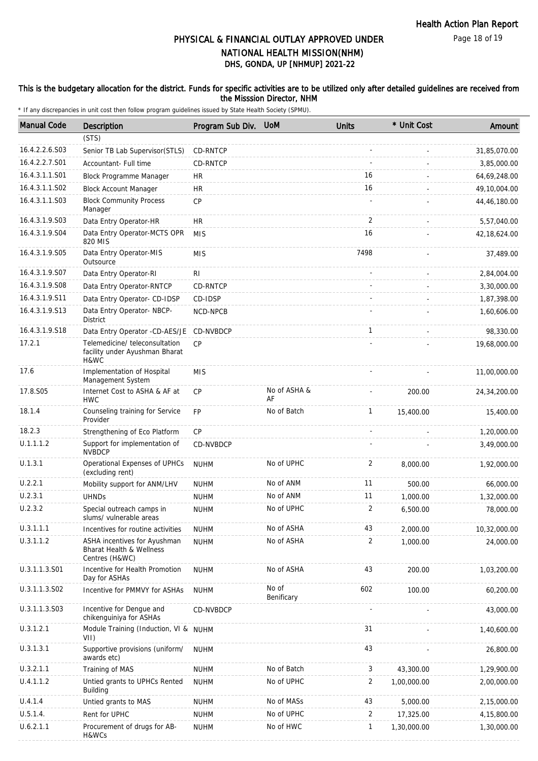### This is the budgetary allocation for the district. Funds for specific activities are to be utilized only after detailed guidelines are received from the Misssion Director, NHM

| <b>Manual Code</b> | <b>Description</b>                                                         | Program Sub Div. | <b>UoM</b>          | <b>Units</b>   | * Unit Cost | Amount         |
|--------------------|----------------------------------------------------------------------------|------------------|---------------------|----------------|-------------|----------------|
|                    | (STS)                                                                      |                  |                     |                |             |                |
| 16.4.2.2.6.S03     | Senior TB Lab Supervisor(STLS)                                             | CD-RNTCP         |                     |                |             | 31,85,070.00   |
| 16.4.2.2.7.S01     | Accountant- Full time                                                      | CD-RNTCP         |                     |                |             | 3,85,000.00    |
| 16.4.3.1.1.S01     | <b>Block Programme Manager</b>                                             | HR               |                     | 16             |             | 64,69,248.00   |
| 16.4.3.1.1.S02     | <b>Block Account Manager</b>                                               | <b>HR</b>        |                     | 16             |             | 49,10,004.00   |
| 16.4.3.1.1.S03     | <b>Block Community Process</b><br>Manager                                  | <b>CP</b>        |                     |                |             | 44,46,180.00   |
| 16.4.3.1.9.S03     | Data Entry Operator-HR                                                     | HR.              |                     | $\overline{2}$ |             | 5,57,040.00    |
| 16.4.3.1.9.S04     | Data Entry Operator-MCTS OPR<br>820 MIS                                    | <b>MIS</b>       |                     | 16             |             | 42, 18, 624.00 |
| 16.4.3.1.9.S05     | Data Entry Operator-MIS<br>Outsource                                       | <b>MIS</b>       |                     | 7498           |             | 37,489.00      |
| 16.4.3.1.9.S07     | Data Entry Operator-RI                                                     | RI               |                     |                |             | 2,84,004.00    |
| 16.4.3.1.9.S08     | Data Entry Operator-RNTCP                                                  | CD-RNTCP         |                     |                |             | 3,30,000.00    |
| 16.4.3.1.9.S11     | Data Entry Operator- CD-IDSP                                               | CD-IDSP          |                     |                |             | 1,87,398.00    |
| 16.4.3.1.9.S13     | Data Entry Operator- NBCP-<br><b>District</b>                              | NCD-NPCB         |                     |                |             | 1,60,606.00    |
| 16.4.3.1.9.S18     | Data Entry Operator - CD-AES/JE                                            | CD-NVBDCP        |                     | $\mathbf{1}$   |             | 98,330.00      |
| 17.2.1             | Telemedicine/ teleconsultation<br>facility under Ayushman Bharat<br>H&WC   | <b>CP</b>        |                     |                |             | 19,68,000.00   |
| 17.6               | Implementation of Hospital<br>Management System                            | <b>MIS</b>       |                     |                |             | 11,00,000.00   |
| 17.8.S05           | Internet Cost to ASHA & AF at<br><b>HWC</b>                                | <b>CP</b>        | No of ASHA &<br>AF  |                | 200.00      | 24,34,200.00   |
| 18.1.4             | Counseling training for Service<br>Provider                                | <b>FP</b>        | No of Batch         | 1              | 15,400.00   | 15,400.00      |
| 18.2.3             | Strengthening of Eco Platform                                              | CP               |                     |                |             | 1,20,000.00    |
| U.1.1.1.2          | Support for implementation of<br><b>NVBDCP</b>                             | CD-NVBDCP        |                     |                |             | 3,49,000.00    |
| U.1.3.1            | Operational Expenses of UPHCs<br>(excluding rent)                          | <b>NUHM</b>      | No of UPHC          | 2              | 8,000.00    | 1,92,000.00    |
| U.2.2.1            | Mobility support for ANM/LHV                                               | <b>NUHM</b>      | No of ANM           | 11             | 500.00      | 66,000.00      |
| U.2.3.1            | <b>UHNDs</b>                                                               | <b>NUHM</b>      | No of ANM           | 11             | 1,000.00    | 1,32,000.00    |
| U.2.3.2            | Special outreach camps in<br>slums/ vulnerable areas                       | <b>NUHM</b>      | No of UPHC          | 2              | 6,500.00    | 78,000.00      |
| U.3.1.1.1          | Incentives for routine activities                                          | <b>NUHM</b>      | No of ASHA          | 43             | 2,000.00    | 10,32,000.00   |
| U.3.1.1.2          | ASHA incentives for Ayushman<br>Bharat Health & Wellness<br>Centres (H&WC) | <b>NUHM</b>      | No of ASHA          | 2              | 1,000.00    | 24,000.00      |
| U.3.1.1.3.S01      | Incentive for Health Promotion<br>Day for ASHAs                            | <b>NUHM</b>      | No of ASHA          | 43             | 200.00      | 1,03,200.00    |
| U.3.1.1.3.S02      | Incentive for PMMVY for ASHAs                                              | <b>NUHM</b>      | No of<br>Benificary | 602            | 100.00      | 60,200.00      |
| U.3.1.1.3.S03      | Incentive for Dengue and<br>chikenguiniya for ASHAs                        | CD-NVBDCP        |                     |                |             | 43,000.00      |
| U.3.1.2.1          | Module Training (Induction, VI & NUHM<br>VII)                              |                  |                     | 31             |             | 1,40,600.00    |
| U.3.1.3.1          | Supportive provisions (uniform/<br>awards etc)                             | <b>NUHM</b>      |                     | 43             |             | 26,800.00      |
| U.3.2.1.1          | Training of MAS                                                            | <b>NUHM</b>      | No of Batch         | 3              | 43,300.00   | 1,29,900.00    |
| U.4.1.1.2          | Untied grants to UPHCs Rented<br><b>Building</b>                           | <b>NUHM</b>      | No of UPHC          | 2              | 1,00,000.00 | 2,00,000.00    |
| U.4.1.4            | Untied grants to MAS                                                       | <b>NUHM</b>      | No of MASs          | 43             | 5,000.00    | 2,15,000.00    |
| U.5.1.4.           | Rent for UPHC                                                              | <b>NUHM</b>      | No of UPHC          | 2              | 17,325.00   | 4,15,800.00    |
| U.6.2.1.1          | Procurement of drugs for AB-<br>H&WCs                                      | <b>NUHM</b>      | No of HWC           | 1              | 1,30,000.00 | 1,30,000.00    |